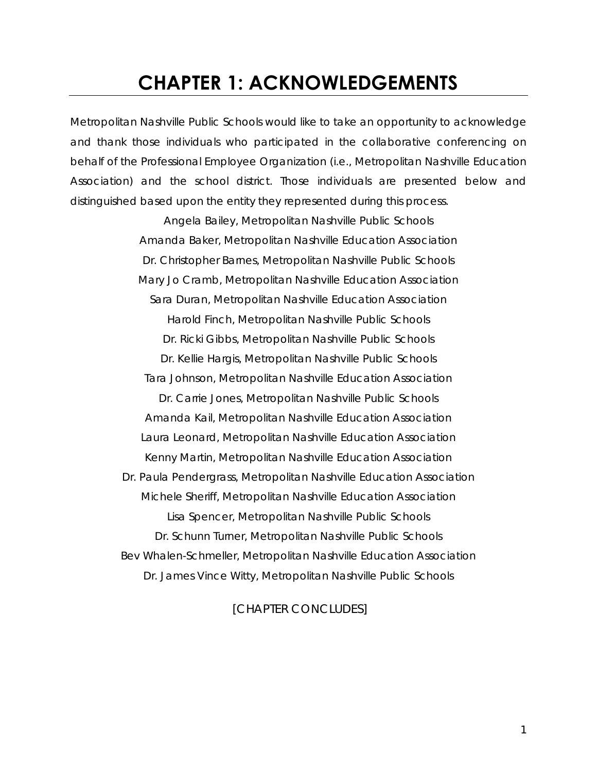## **CHAPTER 1: ACKNOWLEDGEMENTS**

Metropolitan Nashville Public Schools would like to take an opportunity to acknowledge and thank those individuals who participated in the collaborative conferencing on behalf of the Professional Employee Organization (i.e., Metropolitan Nashville Education Association) and the school district. Those individuals are presented below and distinguished based upon the entity they represented during this process.

> Angela Bailey, Metropolitan Nashville Public Schools Amanda Baker, Metropolitan Nashville Education Association Dr. Christopher Barnes, Metropolitan Nashville Public Schools Mary Jo Cramb, Metropolitan Nashville Education Association Sara Duran, Metropolitan Nashville Education Association Harold Finch, Metropolitan Nashville Public Schools Dr. Ricki Gibbs, Metropolitan Nashville Public Schools Dr. Kellie Hargis, Metropolitan Nashville Public Schools Tara Johnson, Metropolitan Nashville Education Association Dr. Carrie Jones, Metropolitan Nashville Public Schools Amanda Kail, Metropolitan Nashville Education Association Laura Leonard, Metropolitan Nashville Education Association Kenny Martin, Metropolitan Nashville Education Association Dr. Paula Pendergrass, Metropolitan Nashville Education Association Michele Sheriff, Metropolitan Nashville Education Association Lisa Spencer, Metropolitan Nashville Public Schools Dr. Schunn Turner, Metropolitan Nashville Public Schools Bev Whalen-Schmeller, Metropolitan Nashville Education Association Dr. James Vince Witty, Metropolitan Nashville Public Schools

#### *[CHAPTER CONCLUDES]*

*1*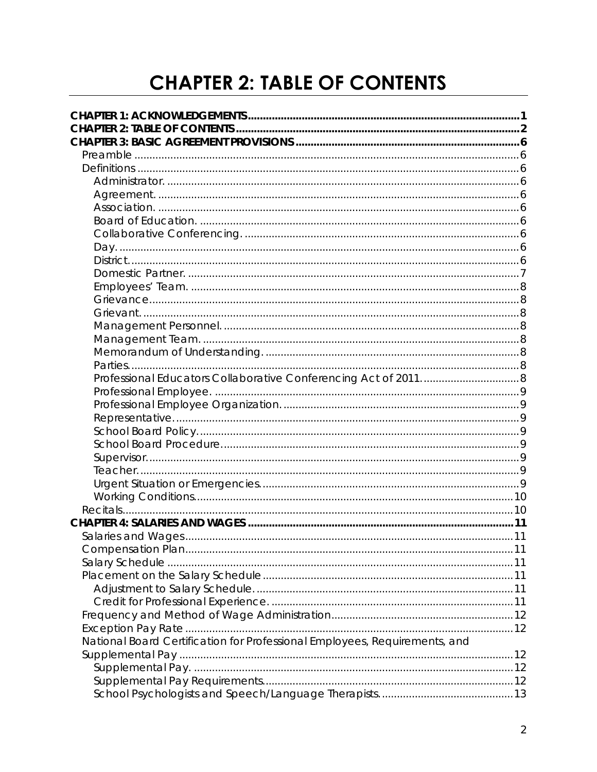## **CHAPTER 2: TABLE OF CONTENTS**

| National Board Certification for Professional Employees, Requirements, and |  |
|----------------------------------------------------------------------------|--|
|                                                                            |  |
|                                                                            |  |
|                                                                            |  |
|                                                                            |  |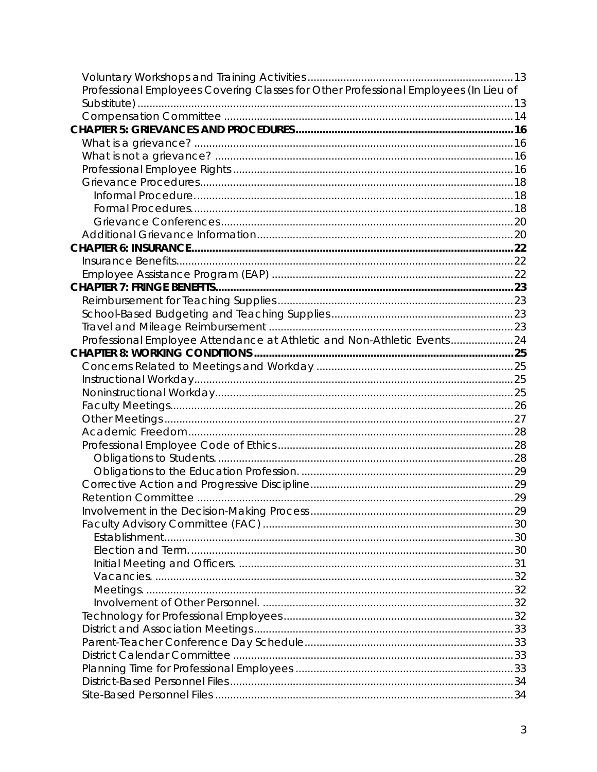| Professional Employees Covering Classes for Other Professional Employees (In Lieu of |  |
|--------------------------------------------------------------------------------------|--|
|                                                                                      |  |
|                                                                                      |  |
|                                                                                      |  |
|                                                                                      |  |
|                                                                                      |  |
|                                                                                      |  |
|                                                                                      |  |
|                                                                                      |  |
|                                                                                      |  |
|                                                                                      |  |
|                                                                                      |  |
|                                                                                      |  |
|                                                                                      |  |
|                                                                                      |  |
|                                                                                      |  |
|                                                                                      |  |
|                                                                                      |  |
|                                                                                      |  |
| Professional Employee Attendance at Athletic and Non-Athletic Events24               |  |
|                                                                                      |  |
|                                                                                      |  |
|                                                                                      |  |
|                                                                                      |  |
|                                                                                      |  |
|                                                                                      |  |
|                                                                                      |  |
|                                                                                      |  |
|                                                                                      |  |
|                                                                                      |  |
|                                                                                      |  |
|                                                                                      |  |
|                                                                                      |  |
|                                                                                      |  |
|                                                                                      |  |
|                                                                                      |  |
|                                                                                      |  |
|                                                                                      |  |
|                                                                                      |  |
|                                                                                      |  |
|                                                                                      |  |
|                                                                                      |  |
|                                                                                      |  |
|                                                                                      |  |
|                                                                                      |  |
|                                                                                      |  |
|                                                                                      |  |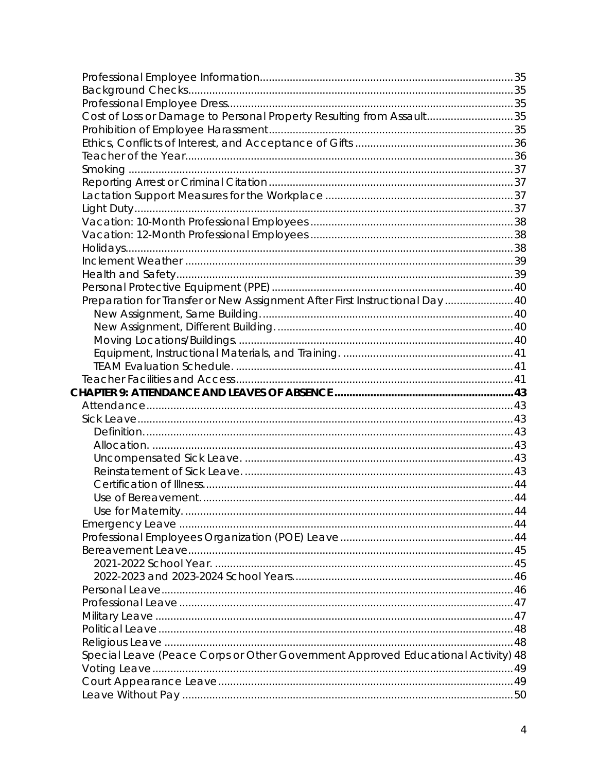| Cost of Loss or Damage to Personal Property Resulting from Assault35             |  |
|----------------------------------------------------------------------------------|--|
|                                                                                  |  |
|                                                                                  |  |
|                                                                                  |  |
|                                                                                  |  |
|                                                                                  |  |
|                                                                                  |  |
|                                                                                  |  |
|                                                                                  |  |
|                                                                                  |  |
|                                                                                  |  |
|                                                                                  |  |
|                                                                                  |  |
|                                                                                  |  |
| Preparation for Transfer or New Assignment After First Instructional Day  40     |  |
|                                                                                  |  |
|                                                                                  |  |
|                                                                                  |  |
|                                                                                  |  |
|                                                                                  |  |
|                                                                                  |  |
|                                                                                  |  |
|                                                                                  |  |
|                                                                                  |  |
|                                                                                  |  |
|                                                                                  |  |
|                                                                                  |  |
|                                                                                  |  |
|                                                                                  |  |
|                                                                                  |  |
|                                                                                  |  |
|                                                                                  |  |
|                                                                                  |  |
|                                                                                  |  |
|                                                                                  |  |
|                                                                                  |  |
|                                                                                  |  |
|                                                                                  |  |
|                                                                                  |  |
|                                                                                  |  |
| Special Leave (Peace Corps or Other Government Approved Educational Activity) 48 |  |
|                                                                                  |  |
|                                                                                  |  |
|                                                                                  |  |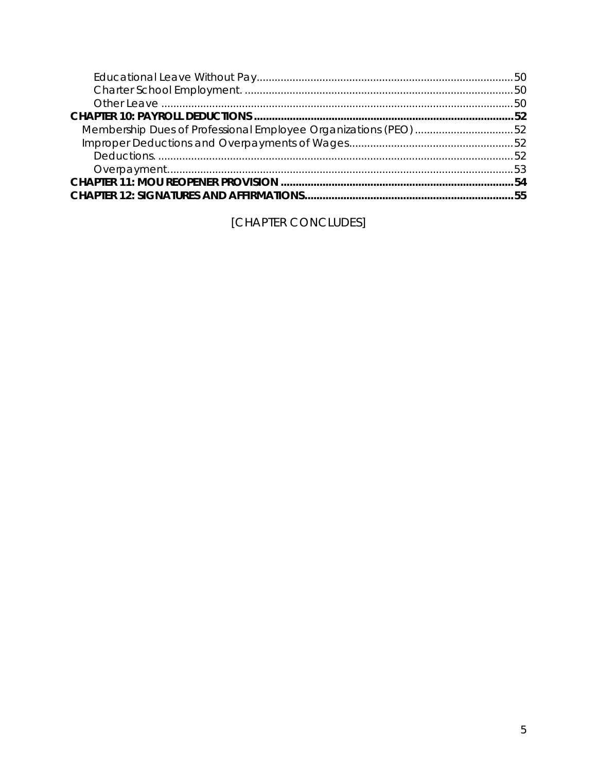| Membership Dues of Professional Employee Organizations (PEO) 52 |  |
|-----------------------------------------------------------------|--|
|                                                                 |  |
|                                                                 |  |
|                                                                 |  |
|                                                                 |  |
|                                                                 |  |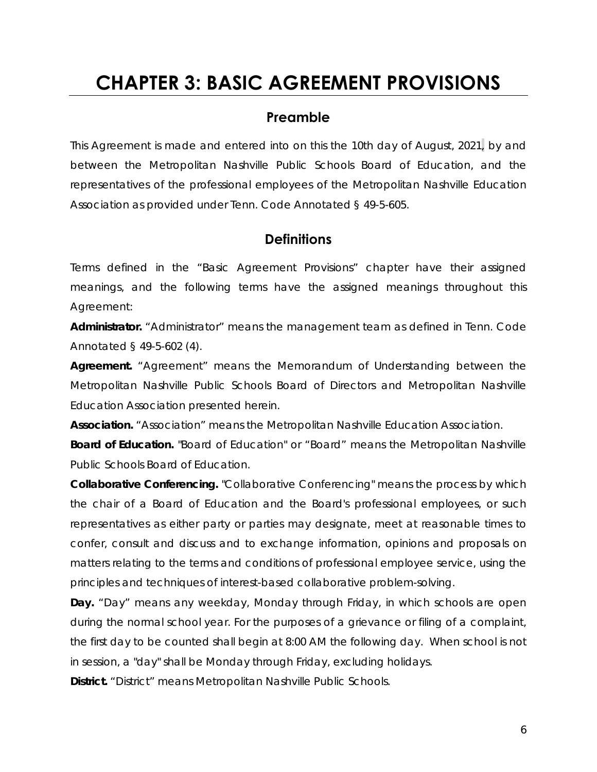## **CHAPTER 3: BASIC AGREEMENT PROVISIONS**

#### **Preamble**

This Agreement is made and entered into on this the 10th day of August, 2021**,** by and between the Metropolitan Nashville Public Schools Board of Education, and the representatives of the professional employees of the Metropolitan Nashville Education Association as provided under Tenn. Code Annotated § 49-5-605.

#### **Definitions**

Terms defined in the "Basic Agreement Provisions" chapter have their assigned meanings, and the following terms have the assigned meanings throughout this Agreement:

*Administrator.* "Administrator" means the management team as defined in Tenn. Code Annotated § 49-5-602 (4).

*Agreement.* "Agreement" means the Memorandum of Understanding between the Metropolitan Nashville Public Schools Board of Directors and Metropolitan Nashville Education Association presented herein.

*Association.* "Association" means the Metropolitan Nashville Education Association.

*Board of Education.* "Board of Education" or "Board" means the Metropolitan Nashville Public Schools Board of Education.

*Collaborative Conferencing.* "Collaborative Conferencing" means the process by which the chair of a Board of Education and the Board's professional employees, or such representatives as either party or parties may designate, meet at reasonable times to confer, consult and discuss and to exchange information, opinions and proposals on matters relating to the terms and conditions of professional employee service, using the principles and techniques of interest-based collaborative problem-solving.

*Day.* "Day" means any weekday, Monday through Friday, in which schools are open during the normal school year. For the purposes of a grievance or filing of a complaint, the first day to be counted shall begin at 8:00 AM the following day. When school is not in session, a "day" shall be Monday through Friday, excluding holidays.

*District.* "District" means Metropolitan Nashville Public Schools.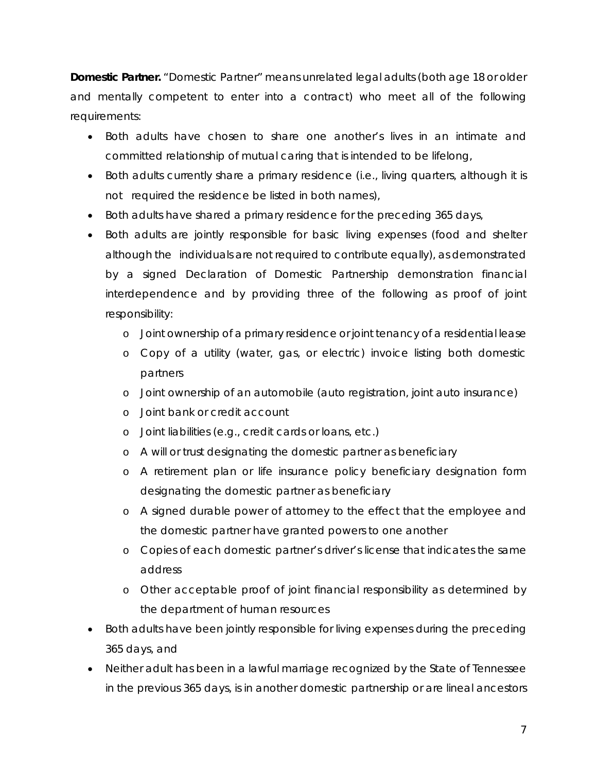*Domestic Partner.* "Domestic Partner" means unrelated legal adults (both age 18 or older and mentally competent to enter into a contract) who meet all of the following requirements:

- Both adults have chosen to share one another's lives in an intimate and committed relationship of mutual caring that is intended to be lifelong,
- Both adults currently share a primary residence (i.e., living quarters, although it is not required the residence be listed in both names),
- Both adults have shared a primary residence for the preceding 365 days,
- Both adults are jointly responsible for basic living expenses (food and shelter although the individuals are not required to contribute equally), as demonstrated by a signed Declaration of Domestic Partnership demonstration financial interdependence and by providing three of the following as proof of joint responsibility:
	- o Joint ownership of a primary residence or joint tenancy of a residential lease
	- o Copy of a utility (water, gas, or electric) invoice listing both domestic partners
	- o Joint ownership of an automobile (auto registration, joint auto insurance)
	- o Joint bank or credit account
	- o Joint liabilities (e.g., credit cards or loans, etc.)
	- o A will or trust designating the domestic partner as beneficiary
	- o A retirement plan or life insurance policy beneficiary designation form designating the domestic partner as beneficiary
	- o A signed durable power of attorney to the effect that the employee and the domestic partner have granted powers to one another
	- o Copies of each domestic partner's driver's license that indicates the same address
	- o Other acceptable proof of joint financial responsibility as determined by the department of human resources
- Both adults have been jointly responsible for living expenses during the preceding 365 days, and
- Neither adult has been in a lawful marriage recognized by the State of Tennessee in the previous 365 days, is in another domestic partnership or are lineal ancestors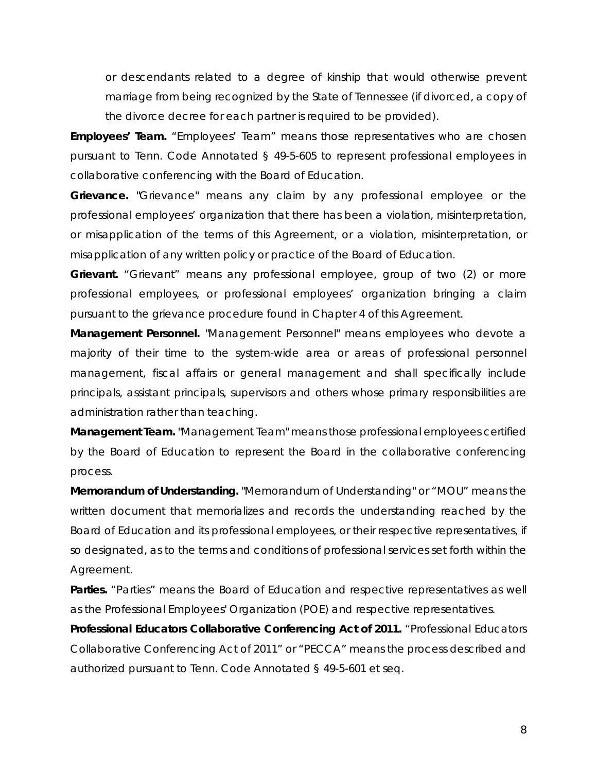or descendants related to a degree of kinship that would otherwise prevent marriage from being recognized by the State of Tennessee (if divorced, a copy of the divorce decree for each partner is required to be provided).

*Employees' Team.* "Employees' Team" means those representatives who are chosen pursuant to Tenn. Code Annotated § 49-5-605 to represent professional employees in collaborative conferencing with the Board of Education.

*Grievance.* "Grievance" means any claim by any professional employee or the professional employees' organization that there has been a violation, misinterpretation, or misapplication of the terms of this Agreement, or a violation, misinterpretation, or misapplication of any written policy or practice of the Board of Education.

*Grievant.* "Grievant" means any professional employee, group of two (2) or more professional employees, or professional employees' organization bringing a claim pursuant to the grievance procedure found in Chapter 4 of this Agreement.

*Management Personnel.* "Management Personnel" means employees who devote a majority of their time to the system-wide area or areas of professional personnel management, fiscal affairs or general management and shall specifically include principals, assistant principals, supervisors and others whose primary responsibilities are administration rather than teaching.

*Management Team.* "Management Team" means those professional employees certified by the Board of Education to represent the Board in the collaborative conferencing process.

*Memorandum of Understanding.* "Memorandum of Understanding" or "MOU" means the written document that memorializes and records the understanding reached by the Board of Education and its professional employees, or their respective representatives, if so designated, as to the terms and conditions of professional services set forth within the Agreement.

Parties. "Parties" means the Board of Education and respective representatives as well as the Professional Employees' Organization (POE) and respective representatives.

*Professional Educators Collaborative Conferencing Act of 2011.* "Professional Educators Collaborative Conferencing Act of 2011" or "PECCA" means the process described and authorized pursuant to Tenn. Code Annotated § 49-5-601 et seq.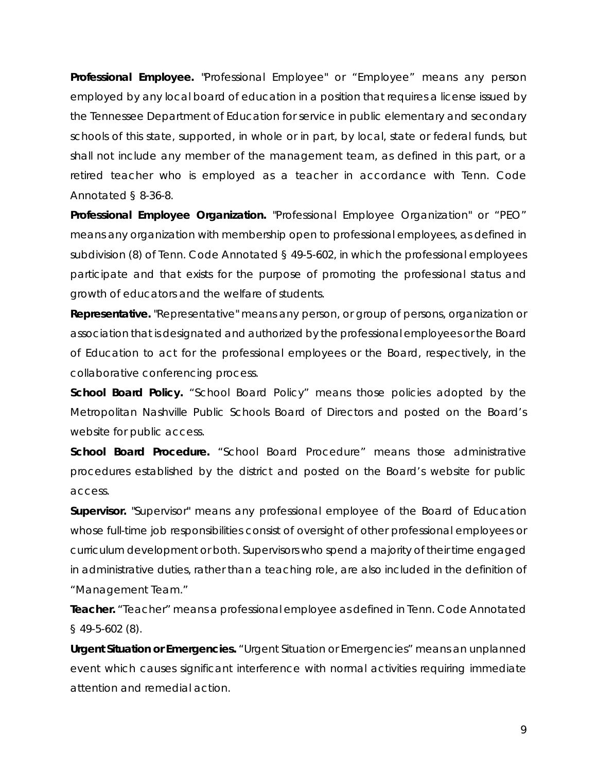*Professional Employee.* "Professional Employee" or "Employee" means any person employed by any local board of education in a position that requires a license issued by the Tennessee Department of Education for service in public elementary and secondary schools of this state, supported, in whole or in part, by local, state or federal funds, but shall not include any member of the management team, as defined in this part, or a retired teacher who is employed as a teacher in accordance with Tenn. Code Annotated § 8-36-8.

*Professional Employee Organization.* "Professional Employee Organization" or "PEO" means any organization with membership open to professional employees, as defined in subdivision (8) of Tenn. Code Annotated § 49-5-602, in which the professional employees participate and that exists for the purpose of promoting the professional status and growth of educators and the welfare of students.

*Representative.* "Representative" means any person, or group of persons, organization or association that is designated and authorized by the professional employees or the Board of Education to act for the professional employees or the Board, respectively, in the collaborative conferencing process.

**School Board Policy.** "School Board Policy" means those policies adopted by the Metropolitan Nashville Public Schools Board of Directors and posted on the Board's website for public access.

*School Board Procedure.* "School Board Procedure" means those administrative procedures established by the district and posted on the Board's website for public access.

**Supervisor.** "Supervisor" means any professional employee of the Board of Education whose full-time job responsibilities consist of oversight of other professional employees or curriculum development or both. Supervisors who spend a majority of their time engaged in administrative duties, rather than a teaching role, are also included in the definition of "Management Team."

*Teacher.* "Teacher" means a professional employee as defined in Tenn. Code Annotated § 49-5-602 (8).

**Urgent Situation or Emergencies.** "Urgent Situation or Emergencies" means an unplanned event which causes significant interference with normal activities requiring immediate attention and remedial action.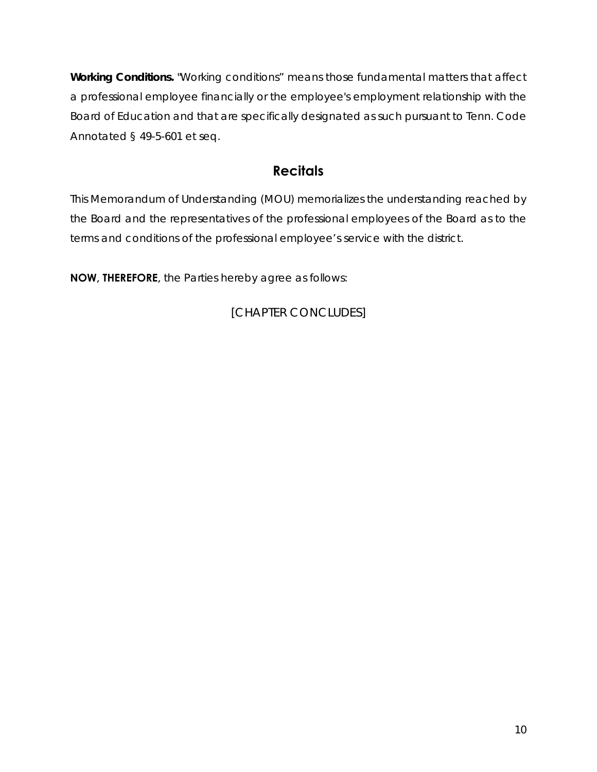*Working Conditions.* "Working conditions" means those fundamental matters that affect a professional employee financially or the employee's employment relationship with the Board of Education and that are specifically designated as such pursuant to Tenn. Code Annotated § 49-5-601 et seq.

## **Recitals**

This Memorandum of Understanding (MOU) memorializes the understanding reached by the Board and the representatives of the professional employees of the Board as to the terms and conditions of the professional employee's service with the district.

**NOW, THEREFORE,** the Parties hereby agree as follows: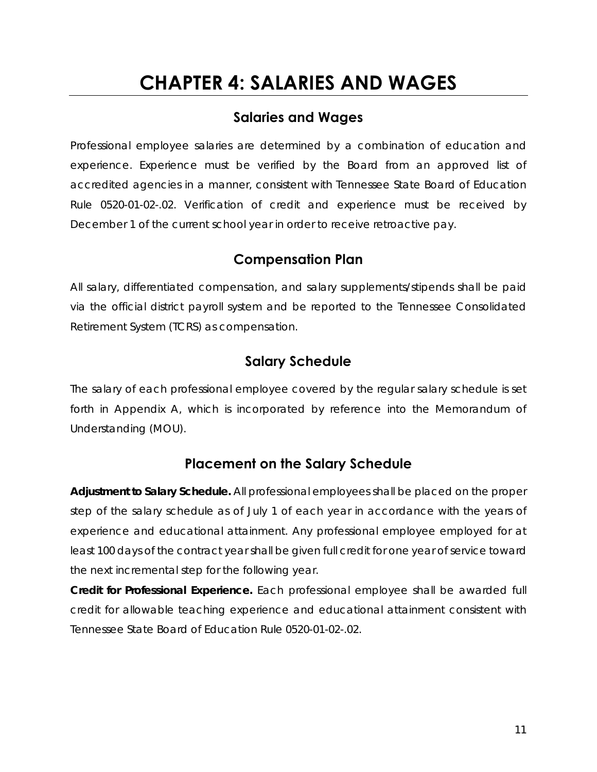## **CHAPTER 4: SALARIES AND WAGES**

## **Salaries and Wages**

Professional employee salaries are determined by a combination of education and experience. Experience must be verified by the Board from an approved list of accredited agencies in a manner, consistent with Tennessee State Board of Education Rule 0520-01-02-.02. Verification of credit and experience must be received by December 1 of the current school year in order to receive retroactive pay.

#### **Compensation Plan**

All salary, differentiated compensation, and salary supplements/stipends shall be paid via the official district payroll system and be reported to the Tennessee Consolidated Retirement System (TCRS) as compensation.

## **Salary Schedule**

The salary of each professional employee covered by the regular salary schedule is set forth in Appendix A, which is incorporated by reference into the Memorandum of Understanding (MOU).

## **Placement on the Salary Schedule**

*Adjustment to Salary Schedule.* All professional employees shall be placed on the proper step of the salary schedule as of July 1 of each year in accordance with the years of experience and educational attainment. Any professional employee employed for at least 100 days of the contract year shall be given full credit for one year of service toward the next incremental step for the following year.

*Credit for Professional Experience.* Each professional employee shall be awarded full credit for allowable teaching experience and educational attainment consistent with Tennessee State Board of Education Rule 0520-01-02-.02.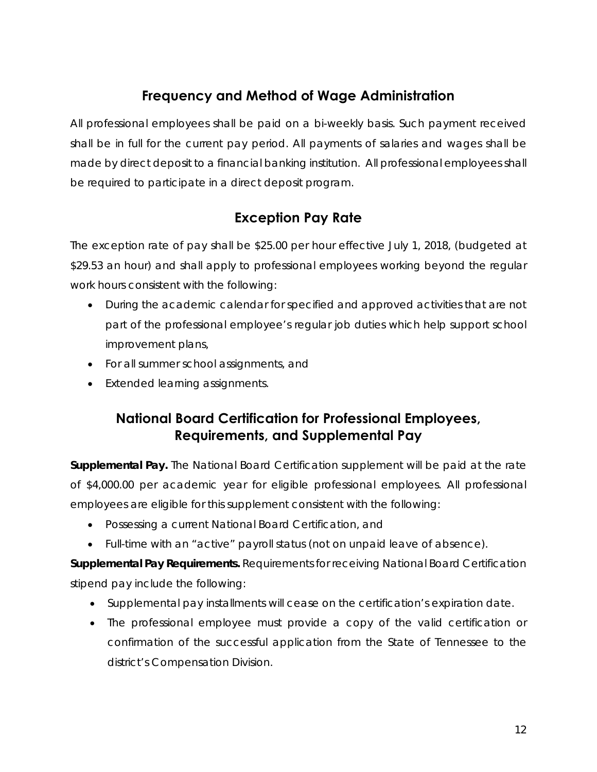## **Frequency and Method of Wage Administration**

All professional employees shall be paid on a bi-weekly basis. Such payment received shall be in full for the current pay period. All payments of salaries and wages shall be made by direct deposit to a financial banking institution. All professional employees shall be required to participate in a direct deposit program.

## **Exception Pay Rate**

The exception rate of pay shall be \$25.00 per hour effective July 1, 2018, (budgeted at \$29.53 an hour) and shall apply to professional employees working beyond the regular work hours consistent with the following:

- During the academic calendar for specified and approved activities that are not part of the professional employee's regular job duties which help support school improvement plans,
- For all summer school assignments, and
- Extended learning assignments.

## **National Board Certification for Professional Employees, Requirements, and Supplemental Pay**

*Supplemental Pay.* The National Board Certification supplement will be paid at the rate of \$4,000.00 per academic year for eligible professional employees. All professional employees are eligible for this supplement consistent with the following:

- Possessing a current National Board Certification, and
- Full-time with an "active" payroll status (not on unpaid leave of absence).

*Supplemental Pay Requirements.* Requirements for receiving National Board Certification stipend pay include the following:

- Supplemental pay installments will cease on the certification's expiration date.
- The professional employee must provide a copy of the valid certification or confirmation of the successful application from the State of Tennessee to the district's Compensation Division.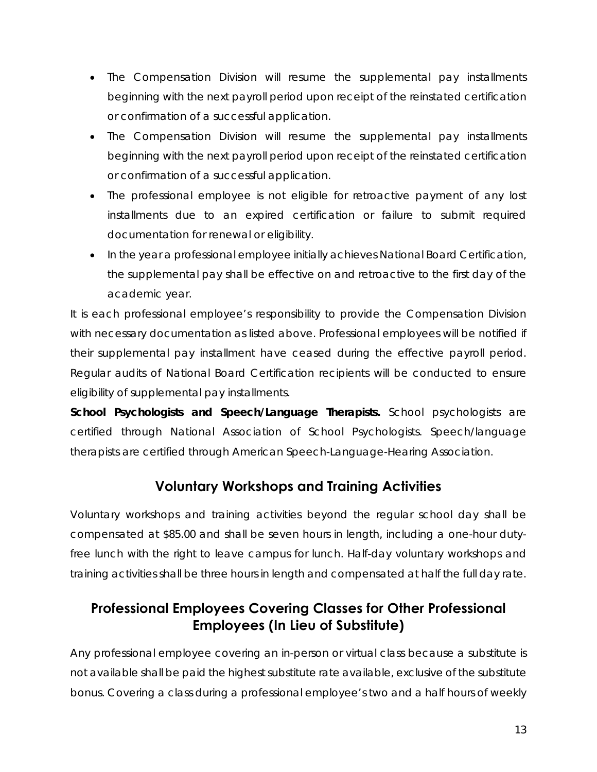- The Compensation Division will resume the supplemental pay installments beginning with the next payroll period upon receipt of the reinstated certification or confirmation of a successful application.
- The Compensation Division will resume the supplemental pay installments beginning with the next payroll period upon receipt of the reinstated certification or confirmation of a successful application.
- The professional employee is not eligible for retroactive payment of any lost installments due to an expired certification or failure to submit required documentation for renewal or eligibility.
- In the year a professional employee initially achieves National Board Certification, the supplemental pay shall be effective on and retroactive to the first day of the academic year.

It is each professional employee's responsibility to provide the Compensation Division with necessary documentation as listed above. Professional employees will be notified if their supplemental pay installment have ceased during the effective payroll period. Regular audits of National Board Certification recipients will be conducted to ensure eligibility of supplemental pay installments.

*School Psychologists and Speech/Language Therapists.* School psychologists are certified through National Association of School Psychologists. Speech/language therapists are certified through American Speech-Language-Hearing Association.

## **Voluntary Workshops and Training Activities**

Voluntary workshops and training activities beyond the regular school day shall be compensated at \$85.00 and shall be seven hours in length, including a one-hour dutyfree lunch with the right to leave campus for lunch. Half-day voluntary workshops and training activities shall be three hours in length and compensated at half the full day rate.

## **Professional Employees Covering Classes for Other Professional Employees (In Lieu of Substitute)**

Any professional employee covering an in-person or virtual class because a substitute is not available shall be paid the highest substitute rate available, exclusive of the substitute bonus. Covering a class during a professional employee's two and a half hours of weekly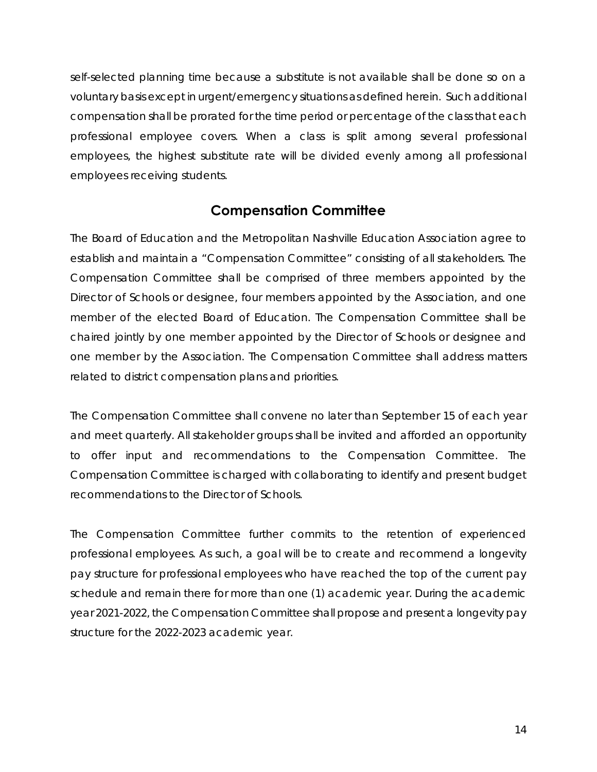self-selected planning time because a substitute is not available shall be done so on a voluntary basis except in urgent/emergency situations as defined herein. Such additional compensation shall be prorated for the time period or percentage of the class that each professional employee covers. When a class is split among several professional employees, the highest substitute rate will be divided evenly among all professional employees receiving students.

#### **Compensation Committee**

The Board of Education and the Metropolitan Nashville Education Association agree to establish and maintain a "Compensation Committee" consisting of all stakeholders. The Compensation Committee shall be comprised of three members appointed by the Director of Schools or designee, four members appointed by the Association, and one member of the elected Board of Education. The Compensation Committee shall be chaired jointly by one member appointed by the Director of Schools or designee and one member by the Association. The Compensation Committee shall address matters related to district compensation plans and priorities.

The Compensation Committee shall convene no later than September 15 of each year and meet quarterly. All stakeholder groups shall be invited and afforded an opportunity to offer input and recommendations to the Compensation Committee. The Compensation Committee is charged with collaborating to identify and present budget recommendations to the Director of Schools.

The Compensation Committee further commits to the retention of experienced professional employees. As such, a goal will be to create and recommend a longevity pay structure for professional employees who have reached the top of the current pay schedule and remain there for more than one (1) academic year. During the academic year 2021-2022, the Compensation Committee shall propose and present a longevity pay structure for the 2022-2023 academic year.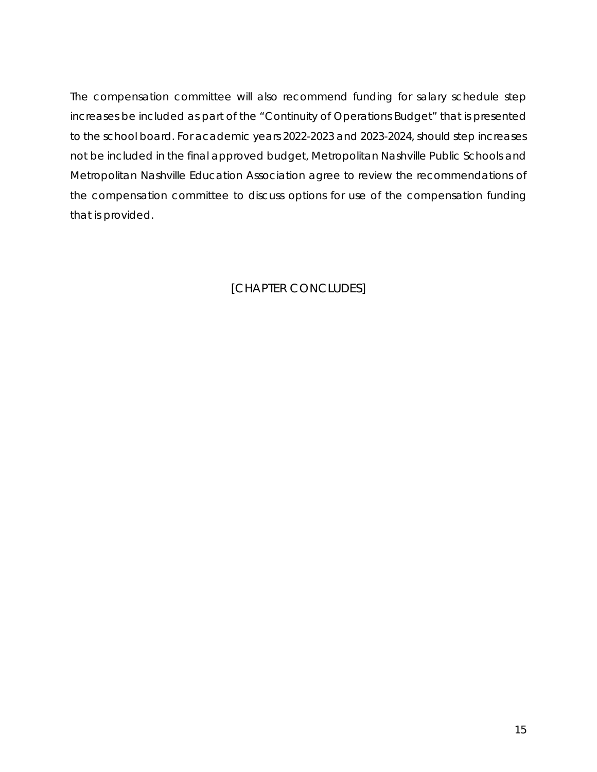The compensation committee will also recommend funding for salary schedule step increases be included as part of the "Continuity of Operations Budget" that is presented to the school board. For academic years 2022-2023 and 2023-2024, should step increases not be included in the final approved budget, Metropolitan Nashville Public Schools and Metropolitan Nashville Education Association agree to review the recommendations of the compensation committee to discuss options for use of the compensation funding that is provided.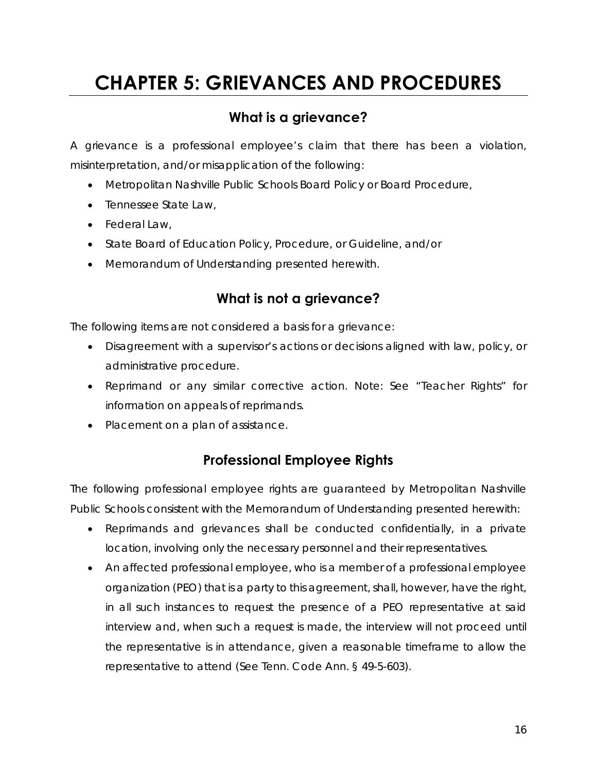## **CHAPTER 5: GRIEVANCES AND PROCEDURES**

## **What is a grievance?**

A grievance is a professional employee's claim that there has been a violation, misinterpretation, and/or misapplication of the following:

- Metropolitan Nashville Public Schools Board Policy or Board Procedure,
- Tennessee State Law,
- Federal Law,
- State Board of Education Policy, Procedure, or Guideline, and/or
- Memorandum of Understanding presented herewith.

## **What is not a grievance?**

The following items are not considered a basis for a grievance:

- Disagreement with a supervisor's actions or decisions aligned with law, policy, or administrative procedure.
- Reprimand or any similar corrective action. Note: *See "Teacher Rights" for information on appeals of reprimands.*
- Placement on a plan of assistance.

## **Professional Employee Rights**

The following professional employee rights are guaranteed by Metropolitan Nashville Public Schools consistent with the Memorandum of Understanding presented herewith:

- Reprimands and grievances shall be conducted confidentially, in a private location, involving only the necessary personnel and their representatives.
- An affected professional employee, who is a member of a professional employee organization (PEO) that is a party to this agreement, shall, however, have the right, in all such instances to request the presence of a PEO representative at said interview and, when such a request is made, the interview will not proceed until the representative is in attendance, given a reasonable timeframe to allow the representative to attend (See Tenn. Code Ann. § 49-5-603).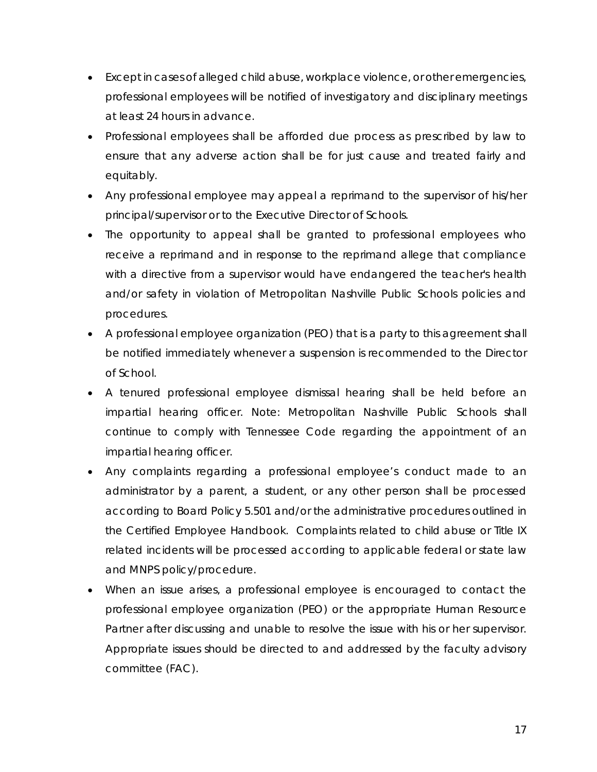- Except in cases of alleged child abuse, workplace violence, or other emergencies, professional employees will be notified of investigatory and disciplinary meetings at least 24 hours in advance.
- Professional employees shall be afforded due process as prescribed by law to ensure that any adverse action shall be for just cause and treated fairly and equitably.
- Any professional employee may appeal a reprimand to the supervisor of his/her principal/supervisor or to the Executive Director of Schools.
- The opportunity to appeal shall be granted to professional employees who receive a reprimand and in response to the reprimand allege that compliance with a directive from a supervisor would have endangered the teacher's health and/or safety in violation of Metropolitan Nashville Public Schools policies and procedures.
- A professional employee organization (PEO) that is a party to this agreement shall be notified immediately whenever a suspension is recommended to the Director of School.
- A tenured professional employee dismissal hearing shall be held before an impartial hearing officer. Note: *Metropolitan Nashville Public Schools shall continue to comply with Tennessee Code regarding the appointment of an impartial hearing officer.*
- Any complaints regarding a professional employee's conduct made to an administrator by a parent, a student, or any other person shall be processed according to Board Policy 5.501 and/or the administrative procedures outlined in the Certified Employee Handbook. Complaints related to child abuse or Title IX related incidents will be processed according to applicable federal or state law and MNPS policy/procedure.
- When an issue arises, a professional employee is encouraged to contact the professional employee organization (PEO) or the appropriate Human Resource Partner after discussing and unable to resolve the issue with his or her supervisor. Appropriate issues should be directed to and addressed by the faculty advisory committee (FAC).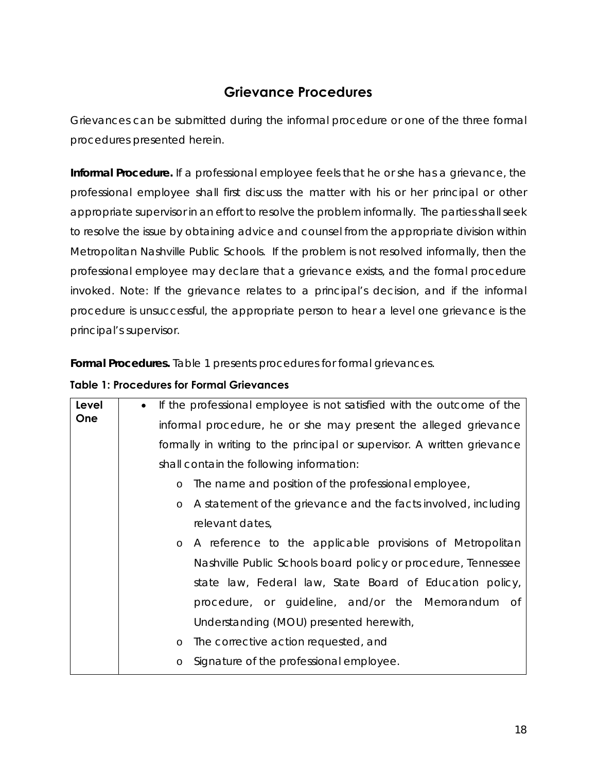## **Grievance Procedures**

Grievances can be submitted during the informal procedure or one of the three formal procedures presented herein.

**Informal Procedure**. If a professional employee feels that he or she has a grievance, the professional employee shall first discuss the matter with his or her principal or other appropriate supervisor in an effort to resolve the problem informally. The parties shall seek to resolve the issue by obtaining advice and counsel from the appropriate division within Metropolitan Nashville Public Schools. If the problem is not resolved informally, then the professional employee may declare that a grievance exists, and the formal procedure invoked. *Note: If the grievance relates to a principal's decision, and if the informal procedure is unsuccessful, the appropriate person to hear a level one grievance is the principal's supervisor.*

*Formal Procedures.* Table 1 presents procedures for formal grievances.

#### **Table 1: Procedures for Formal Grievances**

| Level      | If the professional employee is not satisfied with the outcome of the<br>$\bullet$ |  |  |  |  |  |
|------------|------------------------------------------------------------------------------------|--|--|--|--|--|
| <b>One</b> | informal procedure, he or she may present the alleged grievance                    |  |  |  |  |  |
|            | formally in writing to the principal or supervisor. A written grievance            |  |  |  |  |  |
|            | shall contain the following information:                                           |  |  |  |  |  |
|            | The name and position of the professional employee,<br>$\circ$                     |  |  |  |  |  |
|            | A statement of the grievance and the facts involved, including<br>$\circ$          |  |  |  |  |  |
|            | relevant dates,                                                                    |  |  |  |  |  |
|            | A reference to the applicable provisions of Metropolitan<br>$\circ$                |  |  |  |  |  |
|            | Nashville Public Schools board policy or procedure, Tennessee                      |  |  |  |  |  |
|            | state law, Federal law, State Board of Education policy,                           |  |  |  |  |  |
|            | procedure, or guideline, and/or the Memorandum of                                  |  |  |  |  |  |
|            | Understanding (MOU) presented herewith,                                            |  |  |  |  |  |
|            | The corrective action requested, and<br>$\circ$                                    |  |  |  |  |  |
|            | Signature of the professional employee.<br>$\circ$                                 |  |  |  |  |  |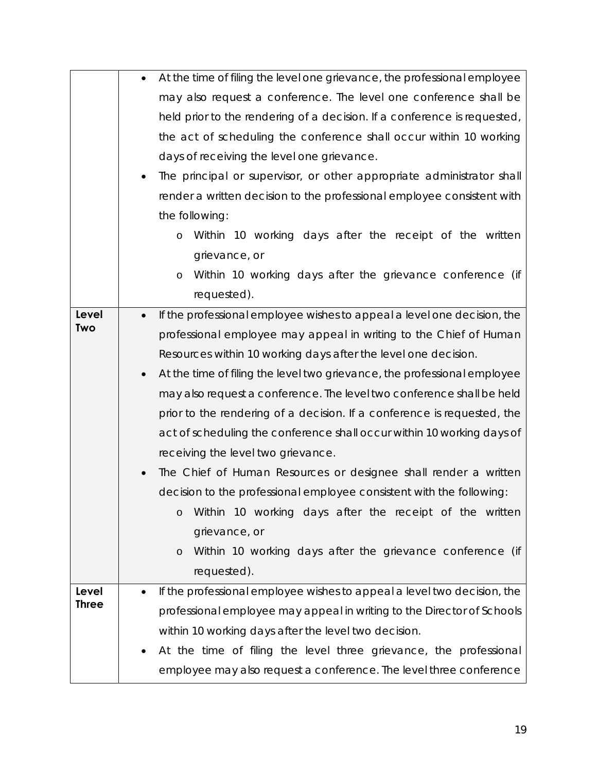|                       | At the time of filing the level one grievance, the professional employee              |
|-----------------------|---------------------------------------------------------------------------------------|
|                       | may also request a conference. The level one conference shall be                      |
|                       | held prior to the rendering of a decision. If a conference is requested,              |
|                       | the act of scheduling the conference shall occur within 10 working                    |
|                       | days of receiving the level one grievance.                                            |
|                       | The principal or supervisor, or other appropriate administrator shall                 |
|                       | render a written decision to the professional employee consistent with                |
|                       | the following:                                                                        |
|                       | Within 10 working days after the receipt of the written<br>O                          |
|                       | grievance, or                                                                         |
|                       | Within 10 working days after the grievance conference (if<br>O                        |
|                       | requested).                                                                           |
| <b>Level</b>          | If the professional employee wishes to appeal a level one decision, the<br>$\bullet$  |
| <b>Two</b>            | professional employee may appeal in writing to the Chief of Human                     |
|                       | Resources within 10 working days after the level one decision.                        |
|                       | At the time of filing the level two grievance, the professional employee<br>$\bullet$ |
|                       | may also request a conference. The level two conference shall be held                 |
|                       | prior to the rendering of a decision. If a conference is requested, the               |
|                       | act of scheduling the conference shall occur within 10 working days of                |
|                       | receiving the level two grievance.                                                    |
|                       | The Chief of Human Resources or designee shall render a written                       |
|                       | decision to the professional employee consistent with the following:                  |
|                       | Within 10 working days after the receipt of the written<br>$\circ$                    |
|                       | grievance, or                                                                         |
|                       | Within 10 working days after the grievance conference (if<br>$\circ$                  |
|                       | requested).                                                                           |
| Level<br><b>Three</b> | If the professional employee wishes to appeal a level two decision, the               |
|                       | professional employee may appeal in writing to the Director of Schools                |
|                       | within 10 working days after the level two decision.                                  |
|                       | At the time of filing the level three grievance, the professional                     |
|                       | employee may also request a conference. The level three conference                    |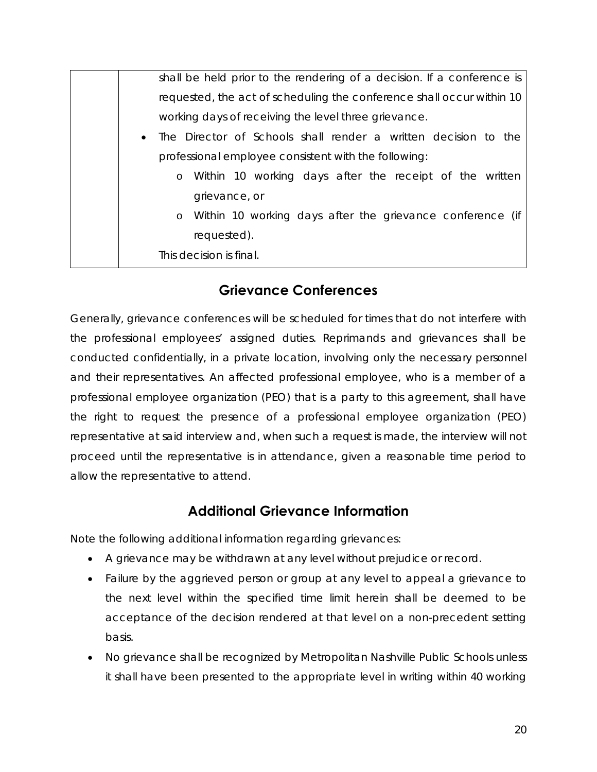| shall be held prior to the rendering of a decision. If a conference is      |  |  |  |  |
|-----------------------------------------------------------------------------|--|--|--|--|
| requested, the act of scheduling the conference shall occur within 10       |  |  |  |  |
| working days of receiving the level three grievance.                        |  |  |  |  |
| The Director of Schools shall render a written decision to the<br>$\bullet$ |  |  |  |  |
| professional employee consistent with the following:                        |  |  |  |  |
| Within 10 working days after the receipt of the written<br>$\circ$          |  |  |  |  |
| grievance, or                                                               |  |  |  |  |
| Within 10 working days after the grievance conference (if<br>$\circ$        |  |  |  |  |
| requested).                                                                 |  |  |  |  |
| This decision is final.                                                     |  |  |  |  |

## **Grievance Conferences**

Generally, grievance conferences will be scheduled for times that do not interfere with the professional employees' assigned duties. Reprimands and grievances shall be conducted confidentially, in a private location, involving only the necessary personnel and their representatives. An affected professional employee, who is a member of a professional employee organization (PEO) that is a party to this agreement, shall have the right to request the presence of a professional employee organization (PEO) representative at said interview and, when such a request is made, the interview will not proceed until the representative is in attendance, given a reasonable time period to allow the representative to attend.

## **Additional Grievance Information**

Note the following additional information regarding grievances:

- A grievance may be withdrawn at any level without prejudice or record.
- Failure by the aggrieved person or group at any level to appeal a grievance to the next level within the specified time limit herein shall be deemed to be acceptance of the decision rendered at that level on a non-precedent setting basis.
- No grievance shall be recognized by Metropolitan Nashville Public Schools unless it shall have been presented to the appropriate level in writing within 40 working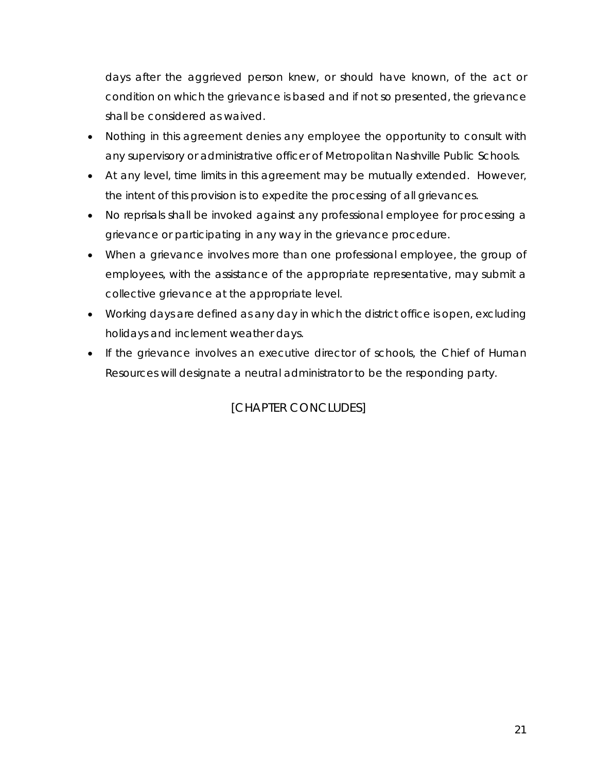days after the aggrieved person knew, or should have known, of the act or condition on which the grievance is based and if not so presented, the grievance shall be considered as waived.

- Nothing in this agreement denies any employee the opportunity to consult with any supervisory or administrative officer of Metropolitan Nashville Public Schools.
- At any level, time limits in this agreement may be mutually extended. However, the intent of this provision is to expedite the processing of all grievances.
- No reprisals shall be invoked against any professional employee for processing a grievance or participating in any way in the grievance procedure.
- When a grievance involves more than one professional employee, the group of employees, with the assistance of the appropriate representative, may submit a collective grievance at the appropriate level.
- Working days are defined as any day in which the district office is open, excluding holidays and inclement weather days.
- If the grievance involves an executive director of schools, the Chief of Human Resources will designate a neutral administrator to be the responding party.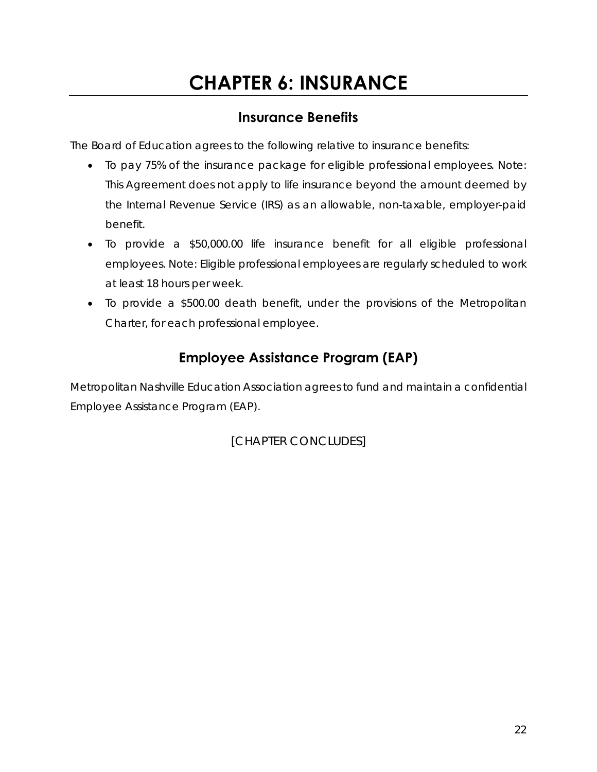## **CHAPTER 6: INSURANCE**

## **Insurance Benefits**

The Board of Education agrees to the following relative to insurance benefits:

- To pay 75% of the insurance package for eligible professional employees. *Note: This Agreement does not apply to life insurance beyond the amount deemed by the Internal Revenue Service (IRS) as an allowable, non-taxable, employer-paid benefit.*
- To provide a \$50,000.00 life insurance benefit for all eligible professional employees. *Note: Eligible professional employees are regularly scheduled to work at least 18 hours per week.*
- To provide a \$500.00 death benefit, under the provisions of the Metropolitan Charter, for each professional employee.

## **Employee Assistance Program (EAP)**

Metropolitan Nashville Education Association agrees to fund and maintain a confidential Employee Assistance Program (EAP).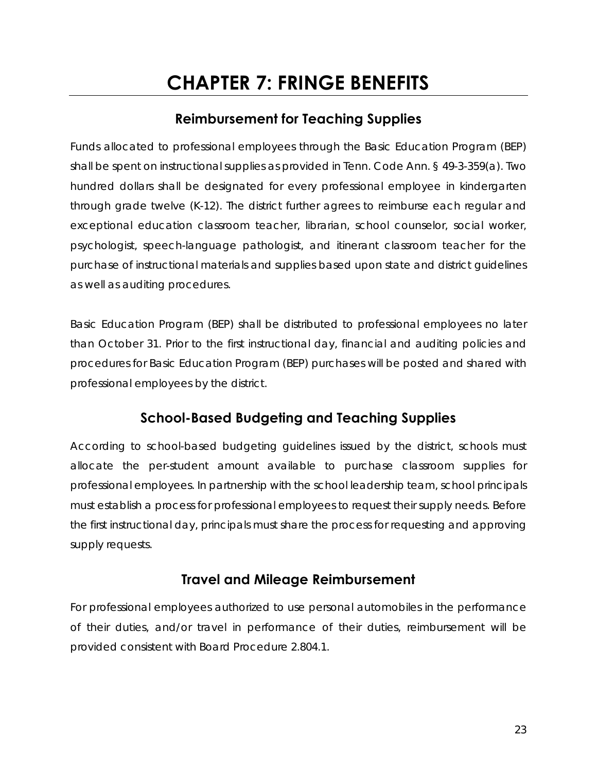## **CHAPTER 7: FRINGE BENEFITS**

## **Reimbursement for Teaching Supplies**

Funds allocated to professional employees through the Basic Education Program (BEP) shall be spent on instructional supplies as provided in Tenn. Code Ann. § 49-3-359(a). Two hundred dollars shall be designated for every professional employee in kindergarten through grade twelve (K-12). The district further agrees to reimburse each regular and exceptional education classroom teacher, librarian, school counselor, social worker, psychologist, speech-language pathologist, and itinerant classroom teacher for the purchase of instructional materials and supplies based upon state and district guidelines as well as auditing procedures.

Basic Education Program (BEP) shall be distributed to professional employees no later than October 31. Prior to the first instructional day, financial and auditing policies and procedures for Basic Education Program (BEP) purchases will be posted and shared with professional employees by the district.

## **School-Based Budgeting and Teaching Supplies**

According to school-based budgeting guidelines issued by the district, schools must allocate the per-student amount available to purchase classroom supplies for professional employees. In partnership with the school leadership team, school principals must establish a process for professional employees to request their supply needs. Before the first instructional day, principals must share the process for requesting and approving supply requests.

#### **Travel and Mileage Reimbursement**

For professional employees authorized to use personal automobiles in the performance of their duties, and/or travel in performance of their duties, reimbursement will be provided consistent with Board Procedure 2.804.1.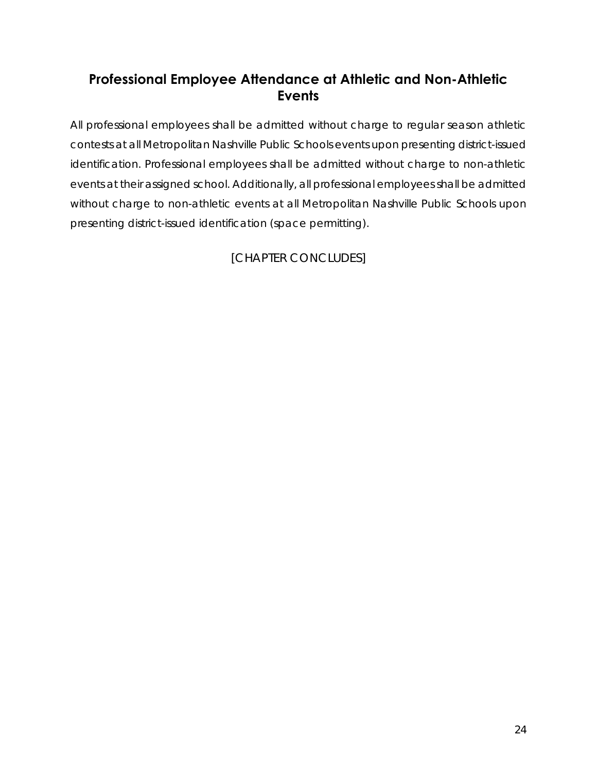## **Professional Employee Attendance at Athletic and Non-Athletic Events**

All professional employees shall be admitted without charge to regular season athletic contests at all Metropolitan Nashville Public Schools events upon presenting district-issued identification. Professional employees shall be admitted without charge to non-athletic events at their assigned school. Additionally, all professional employees shall be admitted without charge to non-athletic events at all Metropolitan Nashville Public Schools upon presenting district-issued identification (space permitting).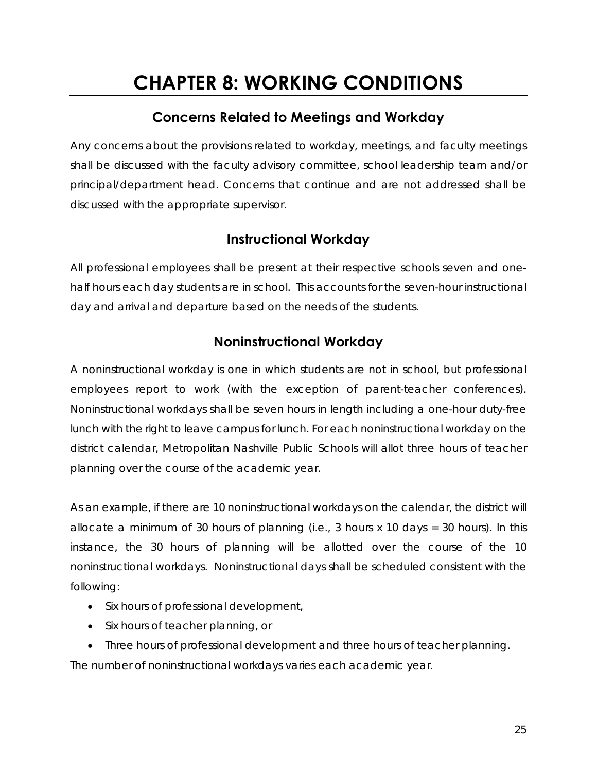## **CHAPTER 8: WORKING CONDITIONS**

## **Concerns Related to Meetings and Workday**

Any concerns about the provisions related to workday, meetings, and faculty meetings shall be discussed with the faculty advisory committee, school leadership team and/or principal/department head. Concerns that continue and are not addressed shall be discussed with the appropriate supervisor.

## **Instructional Workday**

All professional employees shall be present at their respective schools seven and onehalf hours each day students are in school. This accounts for the seven-hour instructional day and arrival and departure based on the needs of the students.

## **Noninstructional Workday**

A noninstructional workday is one in which students are not in school, but professional employees report to work (with the exception of parent-teacher conferences). Noninstructional workdays shall be seven hours in length including a one-hour duty-free lunch with the right to leave campus for lunch. For each noninstructional workday on the district calendar, Metropolitan Nashville Public Schools will allot three hours of teacher planning over the course of the academic year.

As an example, if there are 10 noninstructional workdays on the calendar, the district will allocate a minimum of 30 hours of planning (i.e., 3 hours x 10 days = 30 hours). In this instance, the 30 hours of planning will be allotted over the course of the 10 noninstructional workdays. Noninstructional days shall be scheduled consistent with the following:

- Six hours of professional development,
- Six hours of teacher planning, or

 Three hours of professional development and three hours of teacher planning. The number of noninstructional workdays varies each academic year.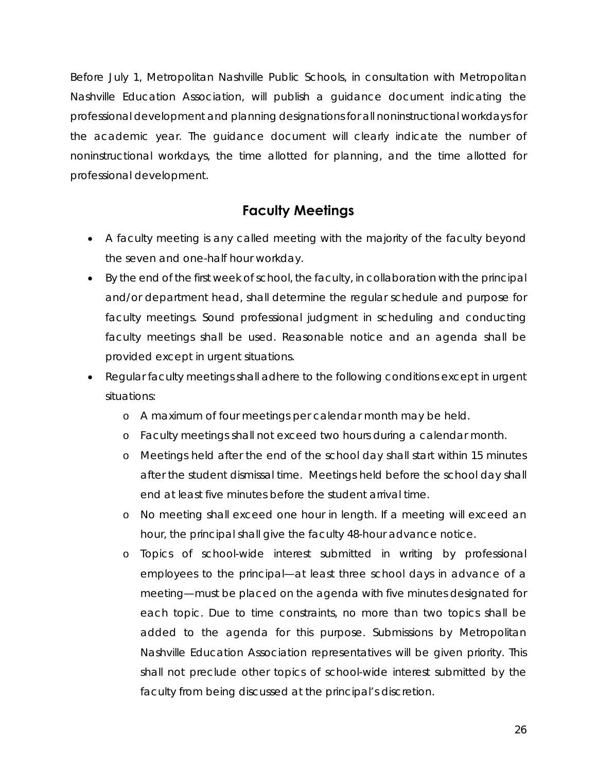Before July 1, Metropolitan Nashville Public Schools, in consultation with Metropolitan Nashville Education Association, will publish a guidance document indicating the professional development and planning designations for all noninstructional workdays for the academic year. The guidance document will clearly indicate the number of noninstructional workdays, the time allotted for planning, and the time allotted for professional development.

#### **Faculty Meetings**

- A faculty meeting is any called meeting with the majority of the faculty beyond the seven and one-half hour workday.
- By the end of the first week of school, the faculty, in collaboration with the principal and/or department head, shall determine the regular schedule and purpose for faculty meetings. Sound professional judgment in scheduling and conducting faculty meetings shall be used. Reasonable notice and an agenda shall be provided except in urgent situations.
- Regular faculty meetings shall adhere to the following conditions except in urgent situations:
	- o A maximum of four meetings per calendar month may be held.
	- o Faculty meetings shall not exceed two hours during a calendar month.
	- o Meetings held after the end of the school day shall start within 15 minutes after the student dismissal time. Meetings held before the school day shall end at least five minutes before the student arrival time.
	- o No meeting shall exceed one hour in length. If a meeting will exceed an hour, the principal shall give the faculty 48-hour advance notice.
	- o Topics of school-wide interest submitted in writing by professional employees to the principal—at least three school days in advance of a meeting—must be placed on the agenda with five minutes designated for each topic. Due to time constraints, no more than two topics shall be added to the agenda for this purpose. Submissions by Metropolitan Nashville Education Association representatives will be given priority. This shall not preclude other topics of school-wide interest submitted by the faculty from being discussed at the principal's discretion.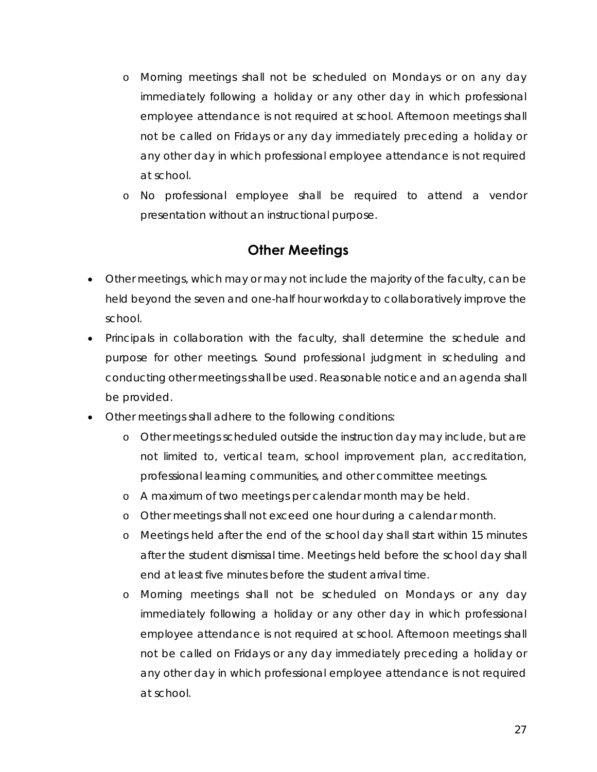- o Morning meetings shall not be scheduled on Mondays or on any day immediately following a holiday or any other day in which professional employee attendance is not required at school. Afternoon meetings shall not be called on Fridays or any day immediately preceding a holiday or any other day in which professional employee attendance is not required at school.
- o No professional employee shall be required to attend a vendor presentation without an instructional purpose.

#### **Other Meetings**

- Other meetings, which may or may not include the majority of the faculty, can be held beyond the seven and one-half hour workday to collaboratively improve the school.
- Principals in collaboration with the faculty, shall determine the schedule and purpose for other meetings. Sound professional judgment in scheduling and conducting other meetings shall be used. Reasonable notice and an agenda shall be provided.
- Other meetings shall adhere to the following conditions:
	- o Other meetings scheduled outside the instruction day may include, but are not limited to, vertical team, school improvement plan, accreditation, professional learning communities, and other committee meetings.
	- o A maximum of two meetings per calendar month may be held.
	- o Other meetings shall not exceed one hour during a calendar month.
	- o Meetings held after the end of the school day shall start within 15 minutes after the student dismissal time. Meetings held before the school day shall end at least five minutes before the student arrival time.
	- o Morning meetings shall not be scheduled on Mondays or any day immediately following a holiday or any other day in which professional employee attendance is not required at school. Afternoon meetings shall not be called on Fridays or any day immediately preceding a holiday or any other day in which professional employee attendance is not required at school.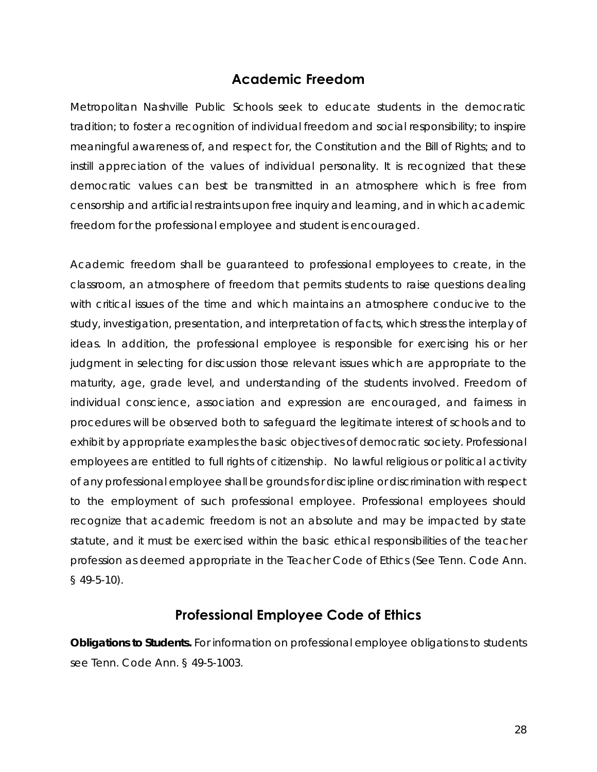#### **Academic Freedom**

Metropolitan Nashville Public Schools seek to educate students in the democratic tradition; to foster a recognition of individual freedom and social responsibility; to inspire meaningful awareness of, and respect for, the Constitution and the Bill of Rights; and to instill appreciation of the values of individual personality. It is recognized that these democratic values can best be transmitted in an atmosphere which is free from censorship and artificial restraints upon free inquiry and learning, and in which academic freedom for the professional employee and student is encouraged.

Academic freedom shall be guaranteed to professional employees to create, in the classroom, an atmosphere of freedom that permits students to raise questions dealing with critical issues of the time and which maintains an atmosphere conducive to the study, investigation, presentation, and interpretation of facts, which stress the interplay of ideas. In addition, the professional employee is responsible for exercising his or her judgment in selecting for discussion those relevant issues which are appropriate to the maturity, age, grade level, and understanding of the students involved. Freedom of individual conscience, association and expression are encouraged, and fairness in procedures will be observed both to safeguard the legitimate interest of schools and to exhibit by appropriate examples the basic objectives of democratic society. Professional employees are entitled to full rights of citizenship. No lawful religious or political activity of any professional employee shall be grounds for discipline or discrimination with respect to the employment of such professional employee. Professional employees should recognize that academic freedom is not an absolute and may be impacted by state statute, and it must be exercised within the basic ethical responsibilities of the teacher profession as deemed appropriate in the Teacher Code of Ethics (See Tenn. Code Ann. § 49-5-10).

#### **Professional Employee Code of Ethics**

*Obligations to Students.* For information on professional employee obligations to students see Tenn. Code Ann. § 49-5-1003.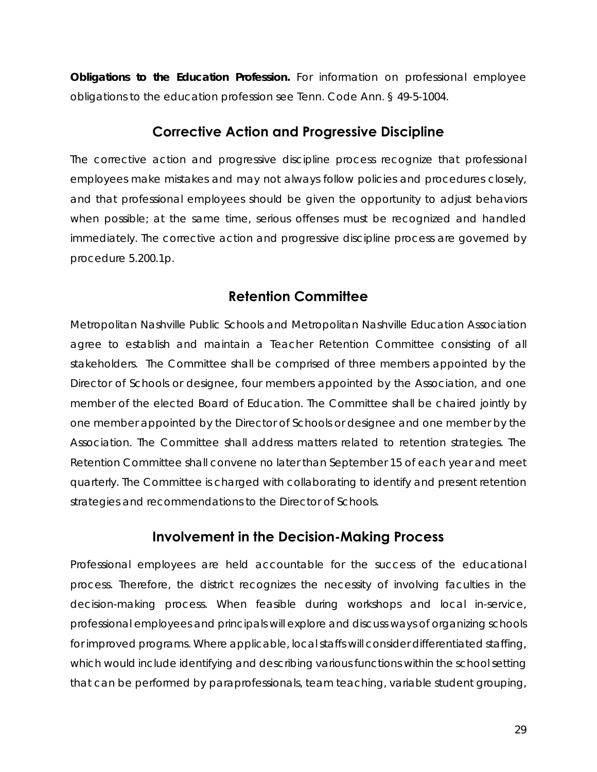**Obligations to the Education Profession.** For information on professional employee obligations to the education profession see Tenn. Code Ann. § 49-5-1004.

#### **Corrective Action and Progressive Discipline**

The corrective action and progressive discipline process recognize that professional employees make mistakes and may not always follow policies and procedures closely, and that professional employees should be given the opportunity to adjust behaviors when possible; at the same time, serious offenses must be recognized and handled immediately. The corrective action and progressive discipline process are governed by procedure 5.200.1p.

#### **Retention Committee**

Metropolitan Nashville Public Schools and Metropolitan Nashville Education Association agree to establish and maintain a Teacher Retention Committee consisting of all stakeholders. The Committee shall be comprised of three members appointed by the Director of Schools or designee, four members appointed by the Association, and one member of the elected Board of Education. The Committee shall be chaired jointly by one member appointed by the Director of Schools or designee and one member by the Association. The Committee shall address matters related to retention strategies. The Retention Committee shall convene no later than September 15 of each year and meet quarterly. The Committee is charged with collaborating to identify and present retention strategies and recommendations to the Director of Schools.

#### **Involvement in the Decision-Making Process**

Professional employees are held accountable for the success of the educational process. Therefore, the district recognizes the necessity of involving faculties in the decision-making process. When feasible during workshops and local in-service, professional employees and principals will explore and discuss ways of organizing schools for improved programs. Where applicable, local staffs will consider differentiated staffing, which would include identifying and describing various functions within the school setting that can be performed by paraprofessionals, team teaching, variable student grouping,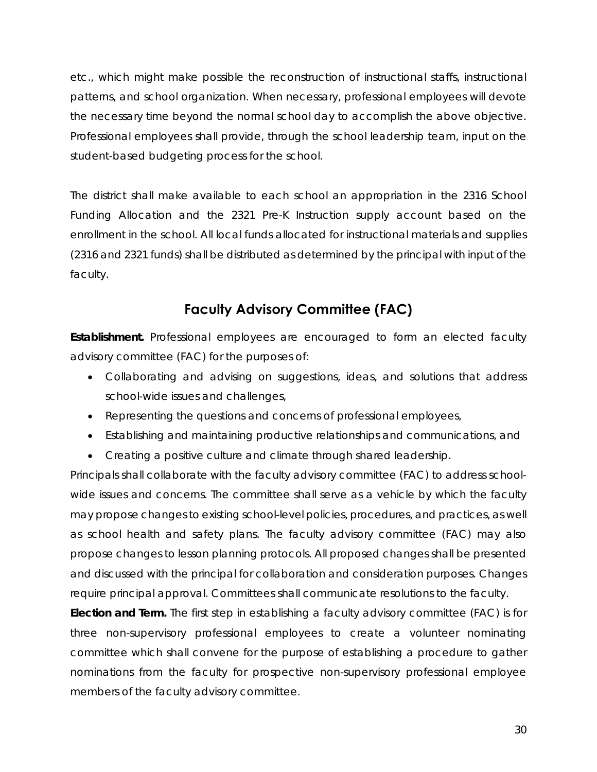etc., which might make possible the reconstruction of instructional staffs, instructional patterns, and school organization. When necessary, professional employees will devote the necessary time beyond the normal school day to accomplish the above objective. Professional employees shall provide, through the school leadership team, input on the student-based budgeting process for the school.

The district shall make available to each school an appropriation in the 2316 School Funding Allocation and the 2321 Pre-K Instruction supply account based on the enrollment in the school. All local funds allocated for instructional materials and supplies (2316 and 2321 funds) shall be distributed as determined by the principal with input of the faculty.

## **Faculty Advisory Committee (FAC)**

**Establishment.** Professional employees are encouraged to form an elected faculty advisory committee (FAC) for the purposes of:

- Collaborating and advising on suggestions, ideas, and solutions that address school-wide issues and challenges,
- Representing the questions and concerns of professional employees,
- Establishing and maintaining productive relationships and communications, and
- Creating a positive culture and climate through shared leadership.

Principals shall collaborate with the faculty advisory committee (FAC) to address schoolwide issues and concerns. The committee shall serve as a vehicle by which the faculty may propose changes to existing school-level policies, procedures, and practices, as well as school health and safety plans. The faculty advisory committee (FAC) may also propose changes to lesson planning protocols. All proposed changes shall be presented and discussed with the principal for collaboration and consideration purposes. Changes require principal approval. Committees shall communicate resolutions to the faculty.

*Election and Term.* The first step in establishing a faculty advisory committee (FAC) is for three non-supervisory professional employees to create a volunteer nominating committee which shall convene for the purpose of establishing a procedure to gather nominations from the faculty for prospective non-supervisory professional employee members of the faculty advisory committee.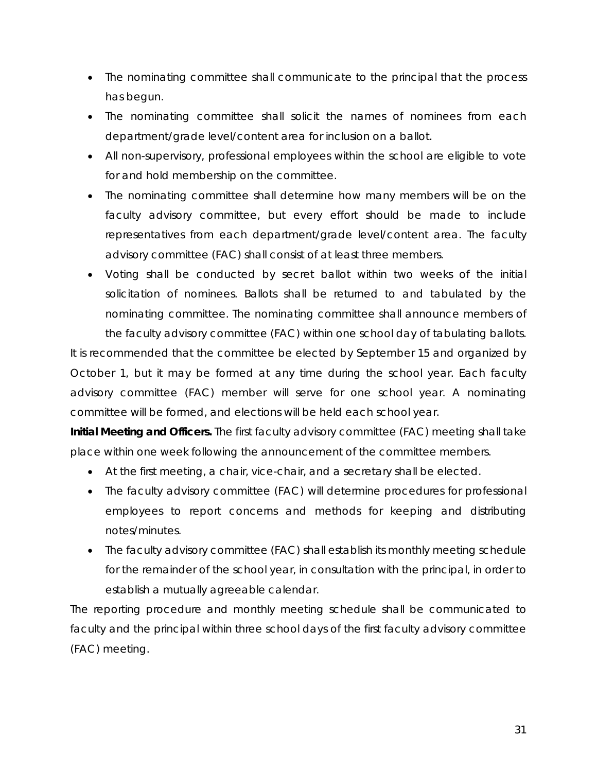- The nominating committee shall communicate to the principal that the process has begun.
- The nominating committee shall solicit the names of nominees from each department/grade level/content area for inclusion on a ballot.
- All non-supervisory, professional employees within the school are eligible to vote for and hold membership on the committee.
- The nominating committee shall determine how many members will be on the faculty advisory committee, but every effort should be made to include representatives from each department/grade level/content area. The faculty advisory committee (FAC) shall consist of at least three members.
- Voting shall be conducted by secret ballot within two weeks of the initial solicitation of nominees. Ballots shall be returned to and tabulated by the nominating committee. The nominating committee shall announce members of the faculty advisory committee (FAC) within one school day of tabulating ballots.

It is recommended that the committee be elected by September 15 and organized by October 1, but it may be formed at any time during the school year. Each faculty advisory committee (FAC) member will serve for one school year. A nominating committee will be formed, and elections will be held each school year.

*Initial Meeting and Officers.* The first faculty advisory committee (FAC) meeting shall take place within one week following the announcement of the committee members.

- At the first meeting, a chair, vice-chair, and a secretary shall be elected.
- The faculty advisory committee (FAC) will determine procedures for professional employees to report concerns and methods for keeping and distributing notes/minutes.
- The faculty advisory committee (FAC) shall establish its monthly meeting schedule for the remainder of the school year, in consultation with the principal, in order to establish a mutually agreeable calendar.

The reporting procedure and monthly meeting schedule shall be communicated to faculty and the principal within three school days of the first faculty advisory committee (FAC) meeting.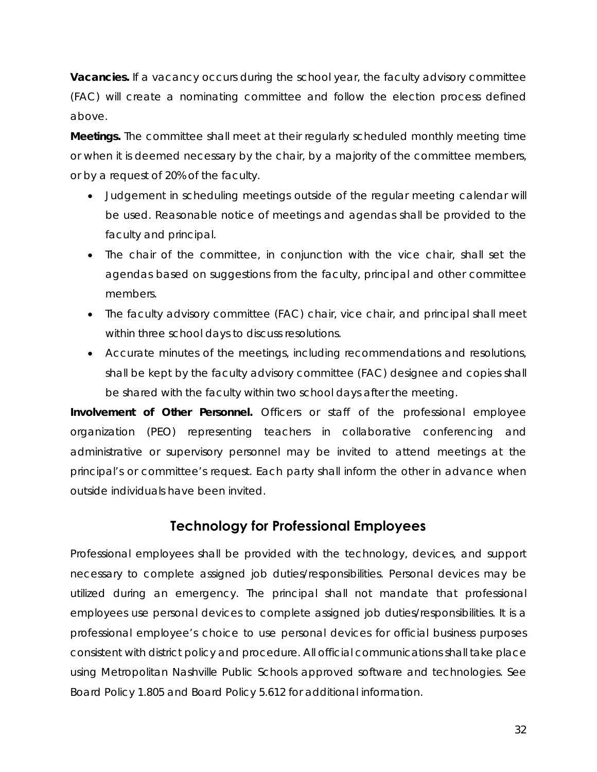**Vacancies.** If a vacancy occurs during the school year, the faculty advisory committee (FAC) will create a nominating committee and follow the election process defined above.

*Meetings.* The committee shall meet at their regularly scheduled monthly meeting time or when it is deemed necessary by the chair, by a majority of the committee members, or by a request of 20% of the faculty.

- Judgement in scheduling meetings outside of the regular meeting calendar will be used. Reasonable notice of meetings and agendas shall be provided to the faculty and principal.
- The chair of the committee, in conjunction with the vice chair, shall set the agendas based on suggestions from the faculty, principal and other committee members.
- The faculty advisory committee (FAC) chair, vice chair, and principal shall meet within three school days to discuss resolutions.
- Accurate minutes of the meetings, including recommendations and resolutions, shall be kept by the faculty advisory committee (FAC) designee and copies shall be shared with the faculty within two school days after the meeting.

**Involvement of Other Personnel.** Officers or staff of the professional employee organization (PEO) representing teachers in collaborative conferencing and administrative or supervisory personnel may be invited to attend meetings at the principal's or committee's request. Each party shall inform the other in advance when outside individuals have been invited.

## **Technology for Professional Employees**

Professional employees shall be provided with the technology, devices, and support necessary to complete assigned job duties/responsibilities. Personal devices may be utilized during an emergency. The principal shall not mandate that professional employees use personal devices to complete assigned job duties/responsibilities. It is a professional employee's choice to use personal devices for official business purposes consistent with district policy and procedure. All official communications shall take place using Metropolitan Nashville Public Schools approved software and technologies. See Board Policy 1.805 and Board Policy 5.612 for additional information.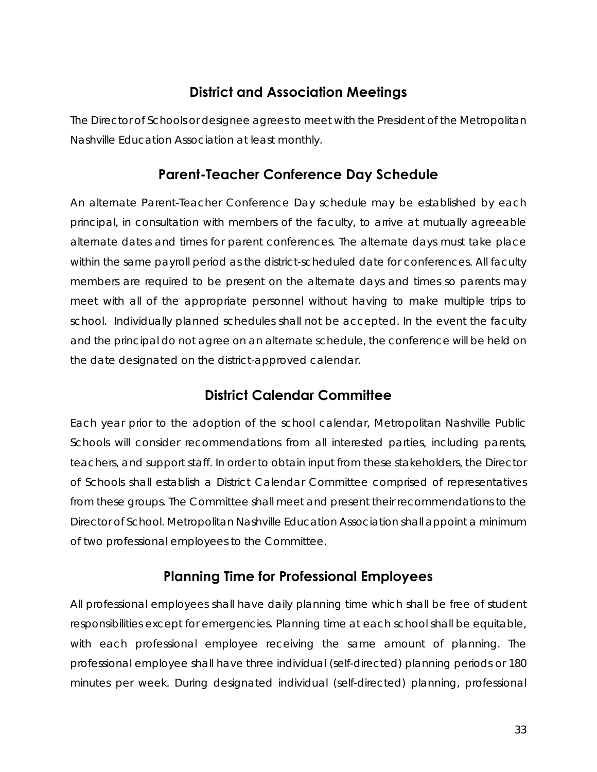## **District and Association Meetings**

The Director of Schools or designee agrees to meet with the President of the Metropolitan Nashville Education Association at least monthly.

### **Parent-Teacher Conference Day Schedule**

An alternate Parent-Teacher Conference Day schedule may be established by each principal, in consultation with members of the faculty, to arrive at mutually agreeable alternate dates and times for parent conferences. The alternate days must take place within the same payroll period as the district-scheduled date for conferences. All faculty members are required to be present on the alternate days and times so parents may meet with all of the appropriate personnel without having to make multiple trips to school. Individually planned schedules shall not be accepted. In the event the faculty and the principal do not agree on an alternate schedule, the conference will be held on the date designated on the district-approved calendar.

## **District Calendar Committee**

Each year prior to the adoption of the school calendar, Metropolitan Nashville Public Schools will consider recommendations from all interested parties, including parents, teachers, and support staff. In order to obtain input from these stakeholders, the Director of Schools shall establish a District Calendar Committee comprised of representatives from these groups. The Committee shall meet and present their recommendations to the Director of School. Metropolitan Nashville Education Association shall appoint a minimum of two professional employees to the Committee.

#### **Planning Time for Professional Employees**

All professional employees shall have daily planning time which shall be free of student responsibilities except for emergencies. Planning time at each school shall be equitable, with each professional employee receiving the same amount of planning. The professional employee shall have three individual (self-directed) planning periods or 180 minutes per week. During designated individual (self-directed) planning, professional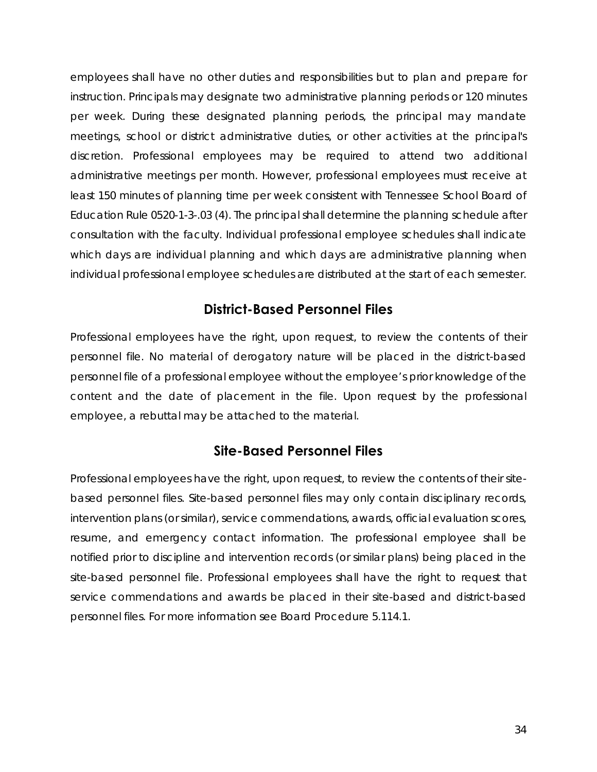employees shall have no other duties and responsibilities but to plan and prepare for instruction. Principals may designate two administrative planning periods or 120 minutes per week. During these designated planning periods, the principal may mandate meetings, school or district administrative duties, or other activities at the principal's discretion. Professional employees may be required to attend two additional administrative meetings per month. However, professional employees must receive at least 150 minutes of planning time per week consistent with Tennessee School Board of Education Rule 0520-1-3-.03 (4). The principal shall determine the planning schedule after consultation with the faculty. Individual professional employee schedules shall indicate which days are individual planning and which days are administrative planning when individual professional employee schedules are distributed at the start of each semester.

#### **District-Based Personnel Files**

Professional employees have the right, upon request, to review the contents of their personnel file. No material of derogatory nature will be placed in the district-based personnel file of a professional employee without the employee's prior knowledge of the content and the date of placement in the file. Upon request by the professional employee, a rebuttal may be attached to the material.

#### **Site-Based Personnel Files**

Professional employees have the right, upon request, to review the contents of their sitebased personnel files. Site-based personnel files may only contain disciplinary records, intervention plans (or similar), service commendations, awards, official evaluation scores, resume, and emergency contact information. The professional employee shall be notified prior to discipline and intervention records (or similar plans) being placed in the site-based personnel file. Professional employees shall have the right to request that service commendations and awards be placed in their site-based and district-based personnel files. For more information see Board Procedure 5.114.1.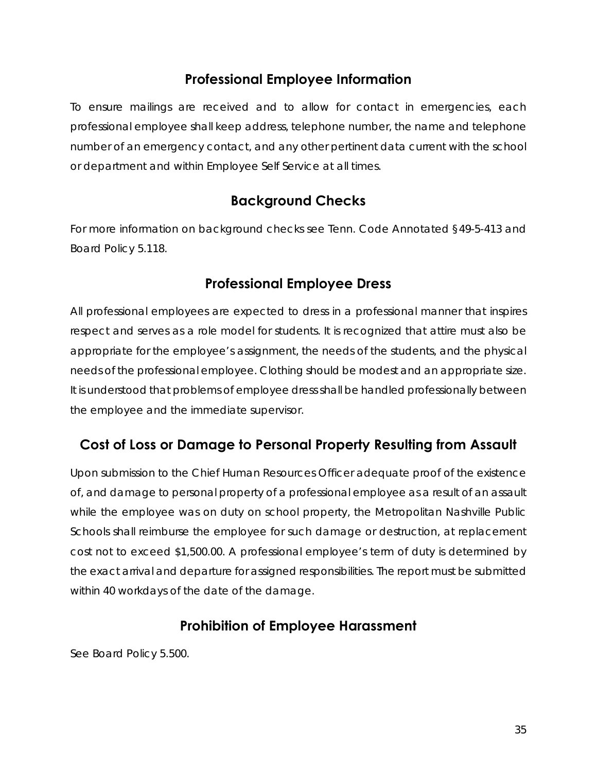## **Professional Employee Information**

To ensure mailings are received and to allow for contact in emergencies, each professional employee shall keep address, telephone number, the name and telephone number of an emergency contact, and any other pertinent data current with the school or department and within Employee Self Service at all times.

## **Background Checks**

For more information on background checks see Tenn. Code Annotated §49-5-413 and Board Policy 5.118.

## **Professional Employee Dress**

All professional employees are expected to dress in a professional manner that inspires respect and serves as a role model for students. It is recognized that attire must also be appropriate for the employee's assignment, the needs of the students, and the physical needs of the professional employee. Clothing should be modest and an appropriate size. It is understood that problems of employee dress shall be handled professionally between the employee and the immediate supervisor.

## **Cost of Loss or Damage to Personal Property Resulting from Assault**

Upon submission to the Chief Human Resources Officer adequate proof of the existence of, and damage to personal property of a professional employee as a result of an assault while the employee was on duty on school property, the Metropolitan Nashville Public Schools shall reimburse the employee for such damage or destruction, at replacement cost not to exceed \$1,500.00. A professional employee's term of duty is determined by the exact arrival and departure for assigned responsibilities. The report must be submitted within 40 workdays of the date of the damage.

## **Prohibition of Employee Harassment**

See Board Policy 5.500.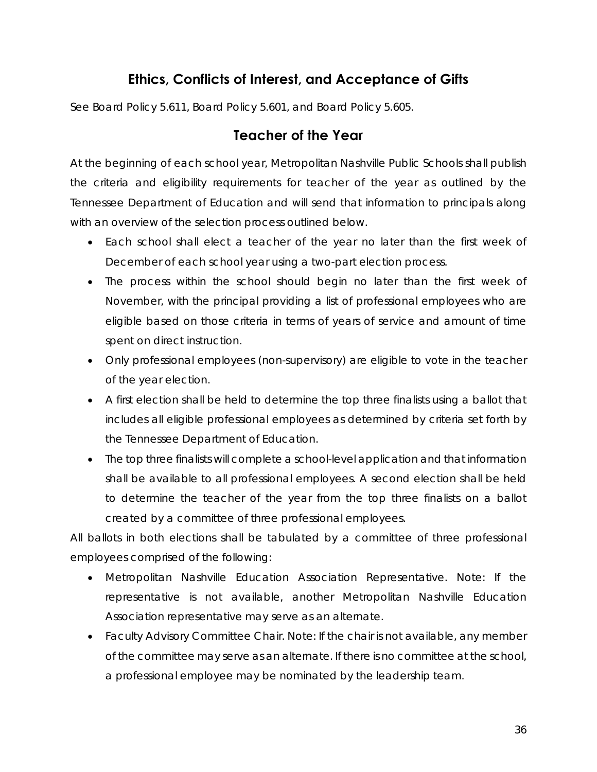## **Ethics, Conflicts of Interest, and Acceptance of Gifts**

See Board Policy 5.611, Board Policy 5.601, and Board Policy 5.605.

#### **Teacher of the Year**

At the beginning of each school year, Metropolitan Nashville Public Schools shall publish the criteria and eligibility requirements for teacher of the year as outlined by the Tennessee Department of Education and will send that information to principals along with an overview of the selection process outlined below.

- Each school shall elect a teacher of the year no later than the first week of December of each school year using a two-part election process.
- The process within the school should begin no later than the first week of November, with the principal providing a list of professional employees who are eligible based on those criteria in terms of years of service and amount of time spent on direct instruction.
- Only professional employees (non-supervisory) are eligible to vote in the teacher of the year election.
- A first election shall be held to determine the top three finalists using a ballot that includes all eligible professional employees as determined by criteria set forth by the Tennessee Department of Education.
- The top three finalists will complete a school-level application and that information shall be available to all professional employees. A second election shall be held to determine the teacher of the year from the top three finalists on a ballot created by a committee of three professional employees.

All ballots in both elections shall be tabulated by a committee of three professional employees comprised of the following:

- Metropolitan Nashville Education Association Representative. *Note: If the representative is not available, another Metropolitan Nashville Education Association representative may serve as an alternate.*
- Faculty Advisory Committee Chair. *Note: If the chair is not available, any member of the committee may serve as an alternate. If there is no committee at the school, a professional employee may be nominated by the leadership team.*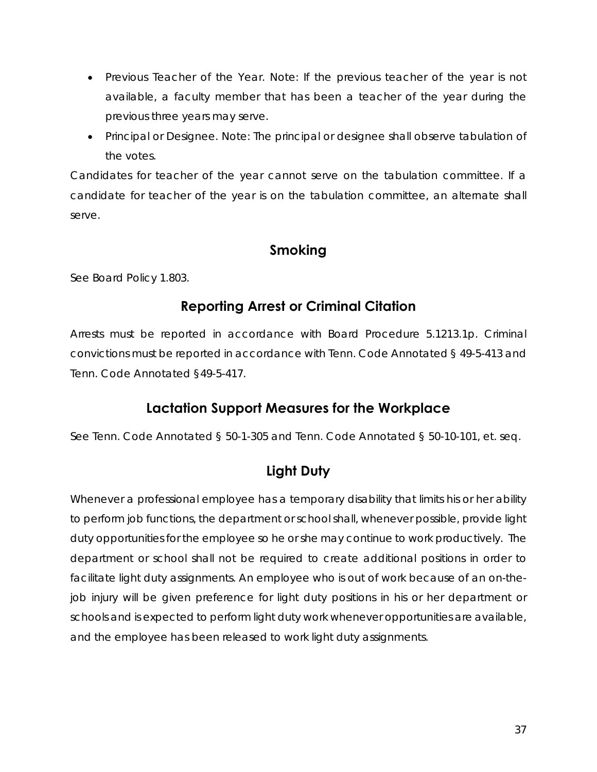- Previous Teacher of the Year. *Note: If the previous teacher of the year is not available, a faculty member that has been a teacher of the year during the previous three years may serve.*
- Principal or Designee. *Note: The principal or designee shall observe tabulation of the votes.*

Candidates for teacher of the year cannot serve on the tabulation committee. If a candidate for teacher of the year is on the tabulation committee, an alternate shall serve.

#### **Smoking**

See Board Policy 1.803.

## **Reporting Arrest or Criminal Citation**

Arrests must be reported in accordance with Board Procedure 5.1213.1p. Criminal convictions must be reported in accordance with Tenn. Code Annotated § 49-5-413 and Tenn. Code Annotated §49-5-417.

## **Lactation Support Measures for the Workplace**

See Tenn. Code Annotated § 50-1-305 and Tenn. Code Annotated § 50-10-101, et. seq.

## **Light Duty**

Whenever a professional employee has a temporary disability that limits his or her ability to perform job functions, the department or school shall, whenever possible, provide light duty opportunities for the employee so he or she may continue to work productively. The department or school shall not be required to create additional positions in order to facilitate light duty assignments. An employee who is out of work because of an on-thejob injury will be given preference for light duty positions in his or her department or schools and is expected to perform light duty work whenever opportunities are available, and the employee has been released to work light duty assignments.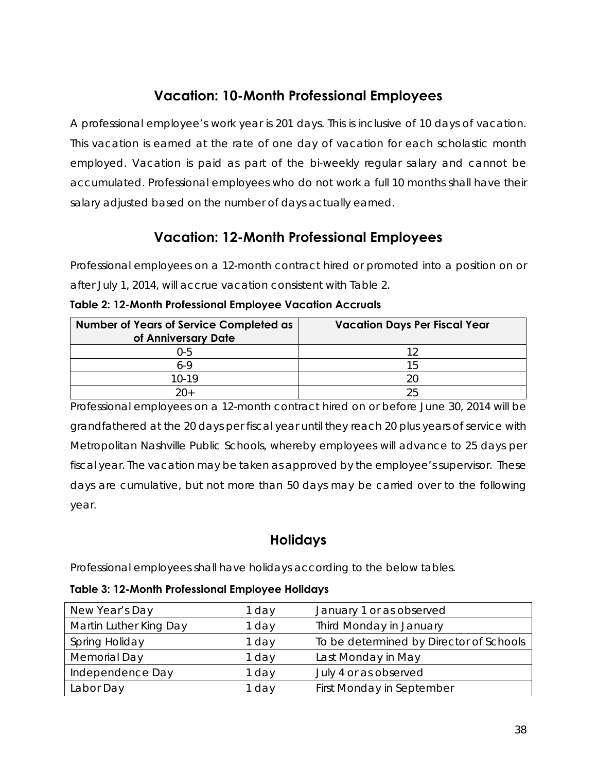## **Vacation: 10-Month Professional Employees**

A professional employee's work year is 201 days. This is inclusive of 10 days of vacation. This vacation is earned at the rate of one day of vacation for each scholastic month employed. Vacation is paid as part of the bi-weekly regular salary and cannot be accumulated. Professional employees who do not work a full 10 months shall have their salary adjusted based on the number of days actually earned.

## **Vacation: 12-Month Professional Employees**

Professional employees on a 12-month contract hired or promoted into a position on or after July 1, 2014, will accrue vacation consistent with Table 2.

| <b>Number of Years of Service Completed as</b><br>of Anniversary Date | <b>Vacation Days Per Fiscal Year</b> |
|-----------------------------------------------------------------------|--------------------------------------|
| Ი-5                                                                   |                                      |
| $6-9$                                                                 | 15                                   |
| $10-19$                                                               |                                      |
| $20+$                                                                 |                                      |

**Table 2: 12-Month Professional Employee Vacation Accruals** 

Professional employees on a 12-month contract hired on or before June 30, 2014 will be grandfathered at the 20 days per fiscal year until they reach 20 plus years of service with Metropolitan Nashville Public Schools, whereby employees will advance to 25 days per fiscal year. The vacation may be taken as approved by the employee's supervisor. These days are cumulative, but not more than 50 days may be carried over to the following year.

## **Holidays**

Professional employees shall have holidays according to the below tables.

**Table 3: 12-Month Professional Employee Holidays** 

| New Year's Day         | 1 day | January 1 or as observed                |
|------------------------|-------|-----------------------------------------|
| Martin Luther King Day | 1 day | Third Monday in January                 |
| Spring Holiday         | 1 day | To be determined by Director of Schools |
| Memorial Day           | 1 day | Last Monday in May                      |
| Independence Day       | 1 day | July 4 or as observed                   |
| Labor Day              | 1 day | First Monday in September               |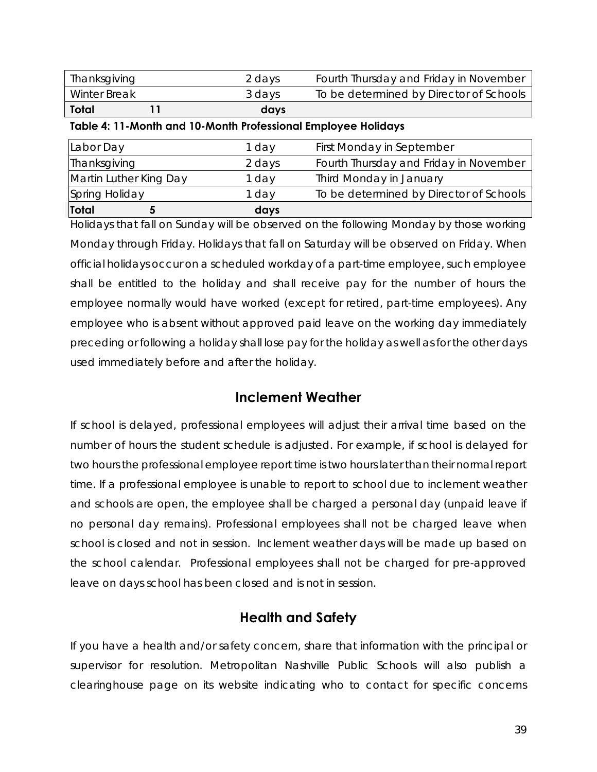| <b>Total</b> | days   |                                         |
|--------------|--------|-----------------------------------------|
| Winter Break | 3 days | To be determined by Director of Schools |
| Thanksgiving | 2 days | Fourth Thursday and Friday in November  |

**Table 4: 11-Month and 10-Month Professional Employee Holidays** 

| Total                  | days   |                                         |
|------------------------|--------|-----------------------------------------|
| Spring Holiday         | 1 day  | To be determined by Director of Schools |
| Martin Luther King Day | 1 day  | Third Monday in January                 |
| Thanksgiving           | 2 days | Fourth Thursday and Friday in November  |
| Labor Day              | 1 day  | First Monday in September               |
|                        |        |                                         |

Holidays that fall on Sunday will be observed on the following Monday by those working Monday through Friday. Holidays that fall on Saturday will be observed on Friday. When official holidays occur on a scheduled workday of a part-time employee, such employee shall be entitled to the holiday and shall receive pay for the number of hours the employee normally would have worked (except for retired, part-time employees). Any employee who is absent without approved paid leave on the working day immediately preceding or following a holiday shall lose pay for the holiday as well as for the other days used immediately before and after the holiday.

#### **Inclement Weather**

If school is delayed, professional employees will adjust their arrival time based on the number of hours the student schedule is adjusted. For example, if school is delayed for two hours the professional employee report time is two hours later than their normal report time. If a professional employee is unable to report to school due to inclement weather and schools are open, the employee shall be charged a personal day (unpaid leave if no personal day remains). Professional employees shall not be charged leave when school is closed and not in session. Inclement weather days will be made up based on the school calendar. Professional employees shall not be charged for pre-approved leave on days school has been closed and is not in session.

## **Health and Safety**

If you have a health and/or safety concern, share that information with the principal or supervisor for resolution. Metropolitan Nashville Public Schools will also publish a clearinghouse page on its website indicating who to contact for specific concerns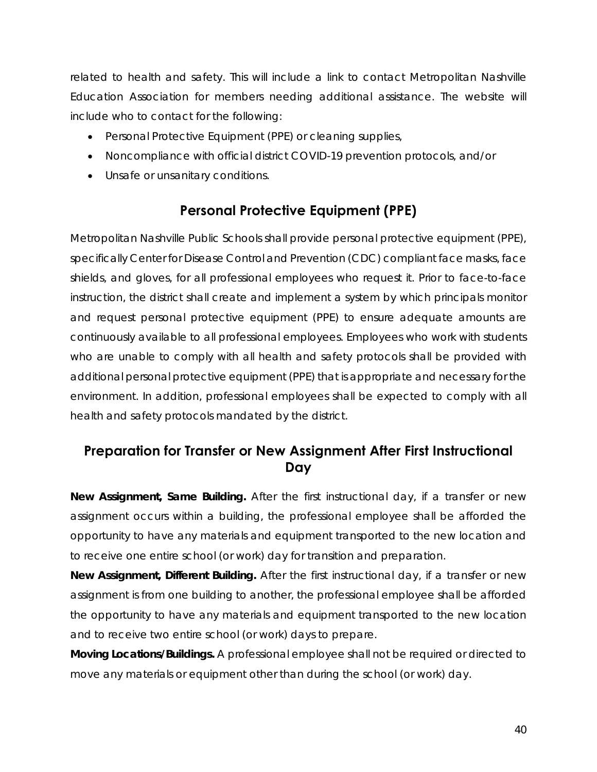related to health and safety. This will include a link to contact Metropolitan Nashville Education Association for members needing additional assistance. The website will include who to contact for the following:

- Personal Protective Equipment (PPE) or cleaning supplies,
- Noncompliance with official district COVID-19 prevention protocols, and/or
- Unsafe or unsanitary conditions.

## **Personal Protective Equipment (PPE)**

Metropolitan Nashville Public Schools shall provide personal protective equipment (PPE), specifically Center for Disease Control and Prevention (CDC) compliant face masks, face shields, and gloves, for all professional employees who request it. Prior to face-to-face instruction, the district shall create and implement a system by which principals monitor and request personal protective equipment (PPE) to ensure adequate amounts are continuously available to all professional employees. Employees who work with students who are unable to comply with all health and safety protocols shall be provided with additional personal protective equipment (PPE) that is appropriate and necessary for the environment. In addition, professional employees shall be expected to comply with all health and safety protocols mandated by the district.

## **Preparation for Transfer or New Assignment After First Instructional Day**

*New Assignment, Same Building.* After the first instructional day, if a transfer or new assignment occurs within a building, the professional employee shall be afforded the opportunity to have any materials and equipment transported to the new location and to receive one entire school (or work) day for transition and preparation.

*New Assignment, Different Building.* After the first instructional day, if a transfer or new assignment is from one building to another, the professional employee shall be afforded the opportunity to have any materials and equipment transported to the new location and to receive two entire school (or work) days to prepare.

*Moving Locations/Buildings.* A professional employee shall not be required or directed to move any materials or equipment other than during the school (or work) day.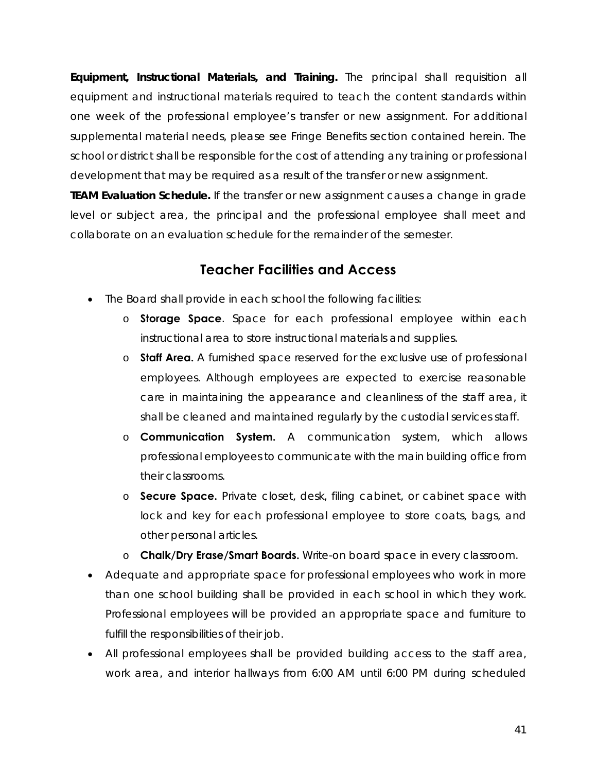*Equipment, Instructional Materials, and Training.* The principal shall requisition all equipment and instructional materials required to teach the content standards within one week of the professional employee's transfer or new assignment. For additional supplemental material needs, please see Fringe Benefits section contained herein. The school or district shall be responsible for the cost of attending any training or professional development that may be required as a result of the transfer or new assignment.

*TEAM Evaluation Schedule.* If the transfer or new assignment causes a change in grade level or subject area, the principal and the professional employee shall meet and collaborate on an evaluation schedule for the remainder of the semester.

## **Teacher Facilities and Access**

- The Board shall provide in each school the following facilities:
	- o **Storage Space**. Space for each professional employee within each instructional area to store instructional materials and supplies.
	- o **Staff Area.** A furnished space reserved for the exclusive use of professional employees. Although employees are expected to exercise reasonable care in maintaining the appearance and cleanliness of the staff area, it shall be cleaned and maintained regularly by the custodial services staff.
	- o **Communication System.** A communication system, which allows professional employees to communicate with the main building office from their classrooms.
	- o **Secure Space.** Private closet, desk, filing cabinet, or cabinet space with lock and key for each professional employee to store coats, bags, and other personal articles.
	- o **Chalk/Dry Erase/Smart Boards.** Write-on board space in every classroom.
- Adequate and appropriate space for professional employees who work in more than one school building shall be provided in each school in which they work. Professional employees will be provided an appropriate space and furniture to fulfill the responsibilities of their job.
- All professional employees shall be provided building access to the staff area, work area, and interior hallways from 6:00 AM until 6:00 PM during scheduled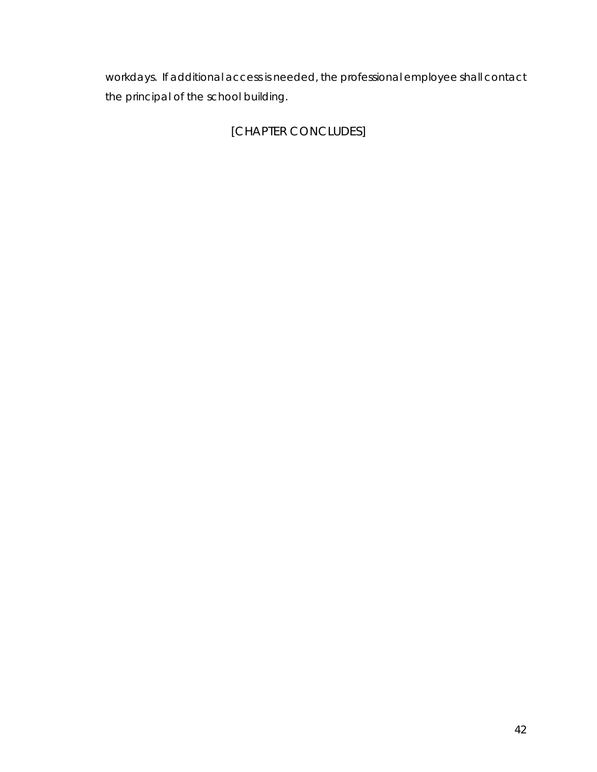workdays. If additional access is needed, the professional employee shall contact the principal of the school building.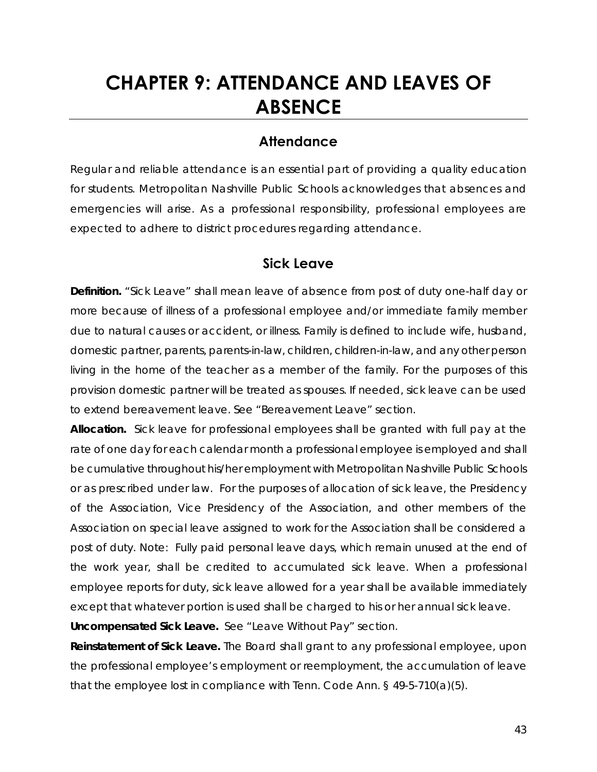## **CHAPTER 9: ATTENDANCE AND LEAVES OF ABSENCE**

#### **Attendance**

Regular and reliable attendance is an essential part of providing a quality education for students. Metropolitan Nashville Public Schools acknowledges that absences and emergencies will arise. As a professional responsibility, professional employees are expected to adhere to district procedures regarding attendance.

#### **Sick Leave**

*Definition.* "Sick Leave" shall mean leave of absence from post of duty one-half day or more because of illness of a professional employee and/or immediate family member due to natural causes or accident, or illness. Family is defined to include wife, husband, domestic partner, parents, parents-in-law, children, children-in-law, and any other person living in the home of the teacher as a member of the family. For the purposes of this provision domestic partner will be treated as spouses. If needed, sick leave can be used to extend bereavement leave. See "Bereavement Leave" section.

*Allocation.* Sick leave for professional employees shall be granted with full pay at the rate of one day for each calendar month a professional employee is employed and shall be cumulative throughout his/her employment with Metropolitan Nashville Public Schools or as prescribed under law. For the purposes of allocation of sick leave, the Presidency of the Association, Vice Presidency of the Association, and other members of the Association on special leave assigned to work for the Association shall be considered a post of duty. *Note: Fully paid personal leave days, which remain unused at the end of the work year, shall be credited to accumulated sick leave. When a professional employee reports for duty, sick leave allowed for a year shall be available immediately except that whatever portion is used shall be charged to his or her annual sick leave. Uncompensated Sick Leave.* See "Leave Without Pay" section.

*Reinstatement of Sick Leave.* The Board shall grant to any professional employee, upon the professional employee's employment or reemployment, the accumulation of leave that the employee lost in compliance with Tenn. Code Ann. § 49-5-710(a)(5).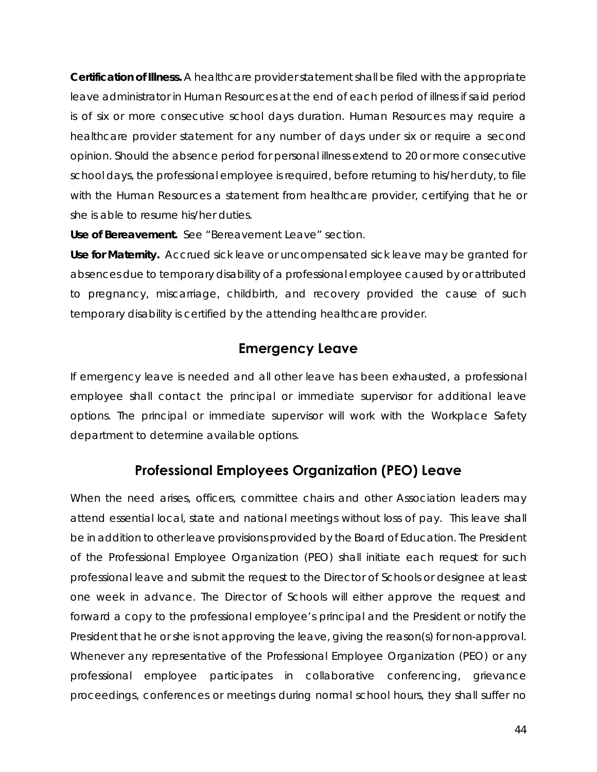*Certification of Illness.* A healthcare provider statement shall be filed with the appropriate leave administrator in Human Resources at the end of each period of illness if said period is of six or more consecutive school days duration. Human Resources may require a healthcare provider statement for any number of days under six or require a second opinion. Should the absence period for personal illness extend to 20 or more consecutive school days, the professional employee is required, before returning to his/her duty, to file with the Human Resources a statement from healthcare provider, certifying that he or she is able to resume his/her duties.

*Use of Bereavement.* See "Bereavement Leave" section.

*Use for Maternity.* Accrued sick leave or uncompensated sick leave may be granted for absences due to temporary disability of a professional employee caused by or attributed to pregnancy, miscarriage, childbirth, and recovery provided the cause of such temporary disability is certified by the attending healthcare provider.

#### **Emergency Leave**

If emergency leave is needed and all other leave has been exhausted, a professional employee shall contact the principal or immediate supervisor for additional leave options. The principal or immediate supervisor will work with the Workplace Safety department to determine available options.

## **Professional Employees Organization (PEO) Leave**

When the need arises, officers, committee chairs and other Association leaders may attend essential local, state and national meetings without loss of pay. This leave shall be in addition to other leave provisions provided by the Board of Education. The President of the Professional Employee Organization (PEO) shall initiate each request for such professional leave and submit the request to the Director of Schools or designee at least one week in advance. The Director of Schools will either approve the request and forward a copy to the professional employee's principal and the President or notify the President that he or she is not approving the leave, giving the reason(s) for non-approval. Whenever any representative of the Professional Employee Organization (PEO) or any professional employee participates in collaborative conferencing, grievance proceedings, conferences or meetings during normal school hours, they shall suffer no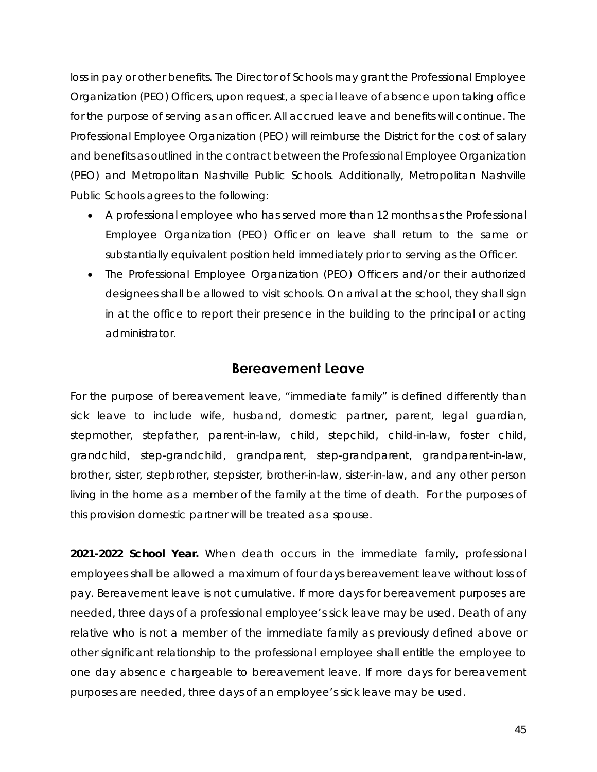loss in pay or other benefits. The Director of Schools may grant the Professional Employee Organization (PEO) Officers, upon request, a special leave of absence upon taking office for the purpose of serving as an officer. All accrued leave and benefits will continue. The Professional Employee Organization (PEO) will reimburse the District for the cost of salary and benefits as outlined in the contract between the Professional Employee Organization (PEO) and Metropolitan Nashville Public Schools. Additionally, Metropolitan Nashville Public Schools agrees to the following:

- A professional employee who has served more than 12 months as the Professional Employee Organization (PEO) Officer on leave shall return to the same or substantially equivalent position held immediately prior to serving as the Officer.
- The Professional Employee Organization (PEO) Officers and/or their authorized designees shall be allowed to visit schools. On arrival at the school, they shall sign in at the office to report their presence in the building to the principal or acting administrator.

#### **Bereavement Leave**

For the purpose of bereavement leave, "immediate family" is defined differently than sick leave to include wife, husband, domestic partner, parent, legal guardian, stepmother, stepfather, parent-in-law, child, stepchild, child-in-law, foster child, grandchild, step-grandchild, grandparent, step-grandparent, grandparent-in-law, brother, sister, stepbrother, stepsister, brother-in-law, sister-in-law, and any other person living in the home as a member of the family at the time of death. For the purposes of this provision domestic partner will be treated as a spouse.

*2021-2022 School Year.* When death occurs in the immediate family, professional employees shall be allowed a maximum of four days bereavement leave without loss of pay. Bereavement leave is not cumulative. If more days for bereavement purposes are needed, three days of a professional employee's sick leave may be used. Death of any relative who is not a member of the immediate family as previously defined above or other significant relationship to the professional employee shall entitle the employee to one day absence chargeable to bereavement leave. If more days for bereavement purposes are needed, three days of an employee's sick leave may be used.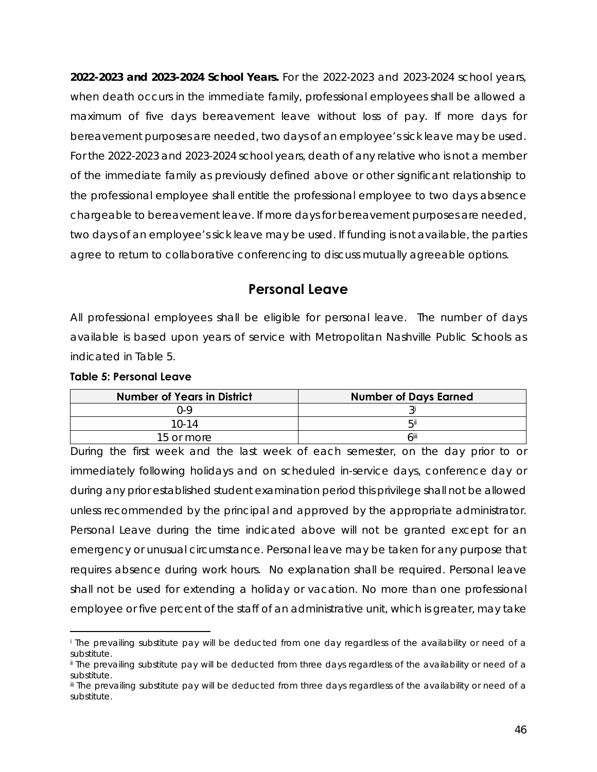*2022-2023 and 2023-2024 School Years.* For the 2022-2023 and 2023-2024 school years, when death occurs in the immediate family, professional employees shall be allowed a maximum of five days bereavement leave without loss of pay. If more days for bereavement purposes are needed, two days of an employee's sick leave may be used. For the 2022-2023 and 2023-2024 school years, death of any relative who is not a member of the immediate family as previously defined above or other significant relationship to the professional employee shall entitle the professional employee to two days absence chargeable to bereavement leave. If more days for bereavement purposes are needed, two days of an employee's sick leave may be used. If funding is not available, the parties agree to return to collaborative conferencing to discuss mutually agreeable options.

#### **Personal Leave**

All professional employees shall be eligible for personal leave. The number of days available is based upon years of service with Metropolitan Nashville Public Schools as indicated in Table 5.

| .                                  |                              |  |  |
|------------------------------------|------------------------------|--|--|
| <b>Number of Years in District</b> | <b>Number of Days Earned</b> |  |  |
| N-9                                |                              |  |  |
| $10 - 14$                          | Бi                           |  |  |

15 or more and the state of  $6^{\text{iii}}$ 

#### **Table 5: Personal Leave**

During the first week and the last week of each semester, on the day prior to or immediately following holidays and on scheduled in-service days, conference day or during any prior established student examination period this privilege shall not be allowed unless recommended by the principal and approved by the appropriate administrator. Personal Leave during the time indicated above will not be granted except for an emergency or unusual circumstance. Personal leave may be taken for any purpose that requires absence during work hours. No explanation shall be required. Personal leave shall not be used for extending a holiday or vacation. No more than one professional employee or five percent of the staff of an administrative unit, which is greater, may take

<sup>i</sup> *The prevailing substitute pay will be deducted from one day regardless of the availability or need of a substitute.*

ii *The prevailing substitute pay will be deducted from three days regardless of the availability or need of a substitute.*

iii *The prevailing substitute pay will be deducted from three days regardless of the availability or need of a substitute.*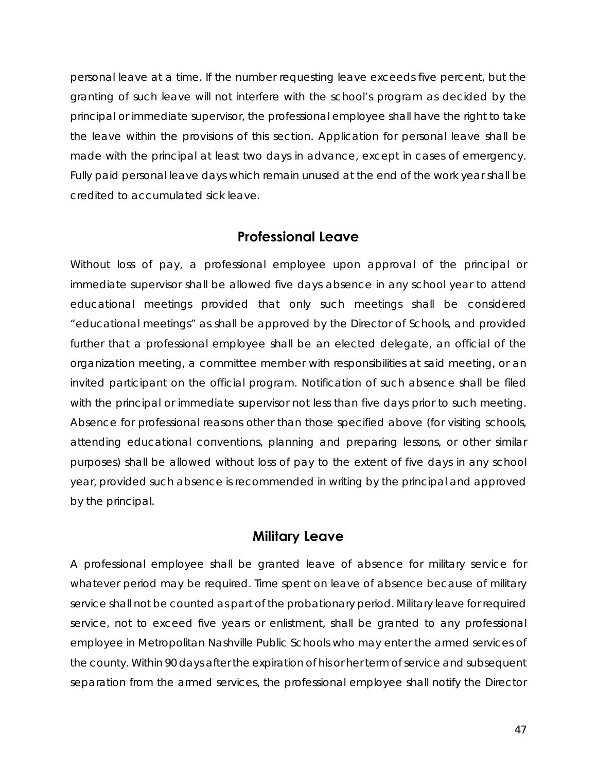personal leave at a time. If the number requesting leave exceeds five percent, but the granting of such leave will not interfere with the school's program as decided by the principal or immediate supervisor, the professional employee shall have the right to take the leave within the provisions of this section. Application for personal leave shall be made with the principal at least two days in advance, except in cases of emergency. Fully paid personal leave days which remain unused at the end of the work year shall be credited to accumulated sick leave.

#### **Professional Leave**

Without loss of pay, a professional employee upon approval of the principal or immediate supervisor shall be allowed five days absence in any school year to attend educational meetings provided that only such meetings shall be considered "educational meetings" as shall be approved by the Director of Schools, and provided further that a professional employee shall be an elected delegate, an official of the organization meeting, a committee member with responsibilities at said meeting, or an invited participant on the official program. Notification of such absence shall be filed with the principal or immediate supervisor not less than five days prior to such meeting. Absence for professional reasons other than those specified above (for visiting schools, attending educational conventions, planning and preparing lessons, or other similar purposes) shall be allowed without loss of pay to the extent of five days in any school year, provided such absence is recommended in writing by the principal and approved by the principal.

#### **Military Leave**

A professional employee shall be granted leave of absence for military service for whatever period may be required. Time spent on leave of absence because of military service shall not be counted as part of the probationary period. Military leave for required service, not to exceed five years or enlistment, shall be granted to any professional employee in Metropolitan Nashville Public Schools who may enter the armed services of the county. Within 90 days after the expiration of his or her term of service and subsequent separation from the armed services, the professional employee shall notify the Director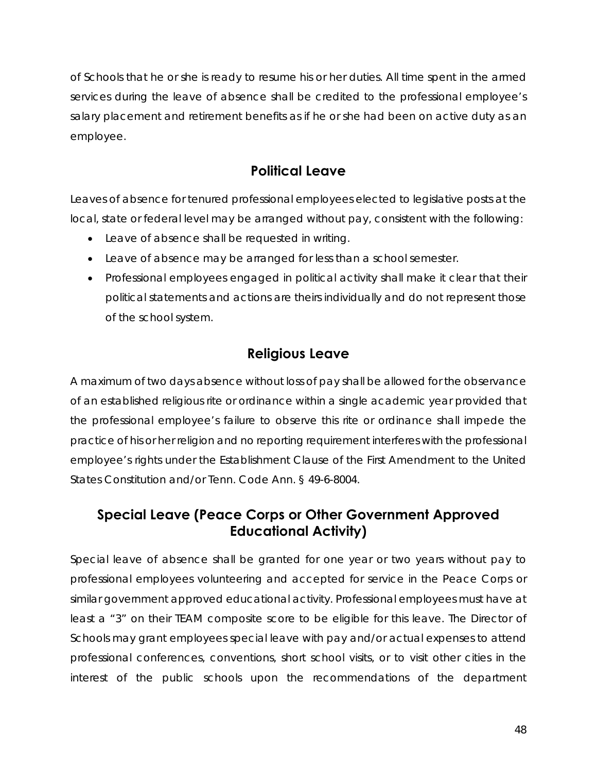of Schools that he or she is ready to resume his or her duties. All time spent in the armed services during the leave of absence shall be credited to the professional employee's salary placement and retirement benefits as if he or she had been on active duty as an employee.

## **Political Leave**

Leaves of absence for tenured professional employees elected to legislative posts at the local, state or federal level may be arranged without pay, consistent with the following:

- Leave of absence shall be requested in writing.
- Leave of absence may be arranged for less than a school semester.
- Professional employees engaged in political activity shall make it clear that their political statements and actions are theirs individually and do not represent those of the school system.

## **Religious Leave**

A maximum of two days absence without loss of pay shall be allowed for the observance of an established religious rite or ordinance within a single academic year provided that the professional employee's failure to observe this rite or ordinance shall impede the practice of his or her religion and no reporting requirement interferes with the professional employee's rights under the Establishment Clause of the First Amendment to the United States Constitution and/or Tenn. Code Ann. § 49-6-8004.

## **Special Leave (Peace Corps or Other Government Approved Educational Activity)**

Special leave of absence shall be granted for one year or two years without pay to professional employees volunteering and accepted for service in the Peace Corps or similar government approved educational activity. Professional employees must have at least a "3" on their TEAM composite score to be eligible for this leave. The Director of Schools may grant employees special leave with pay and/or actual expenses to attend professional conferences, conventions, short school visits, or to visit other cities in the interest of the public schools upon the recommendations of the department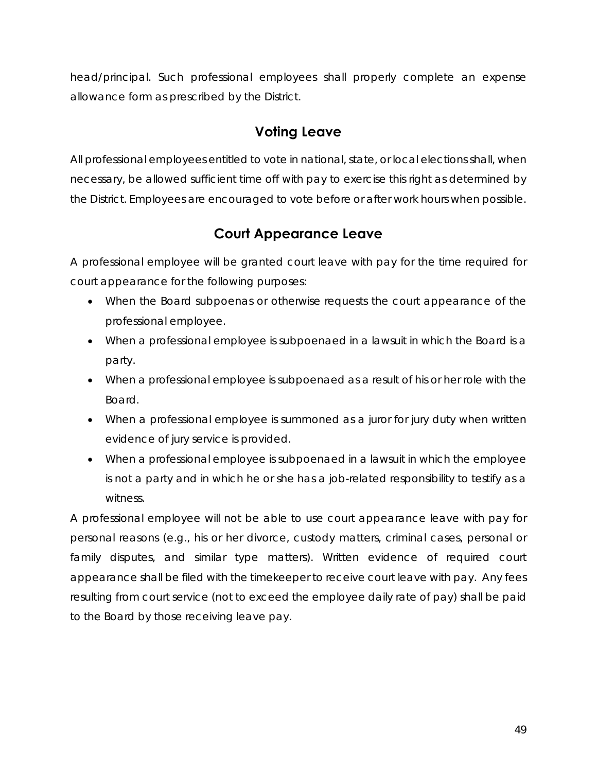head/principal. Such professional employees shall properly complete an expense allowance form as prescribed by the District.

## **Voting Leave**

All professional employees entitled to vote in national, state, or local elections shall, when necessary, be allowed sufficient time off with pay to exercise this right as determined by the District. Employees are encouraged to vote before or after work hours when possible.

## **Court Appearance Leave**

A professional employee will be granted court leave with pay for the time required for court appearance for the following purposes:

- When the Board subpoenas or otherwise requests the court appearance of the professional employee.
- When a professional employee is subpoenaed in a lawsuit in which the Board is a party.
- When a professional employee is subpoenaed as a result of his or her role with the Board.
- When a professional employee is summoned as a juror for jury duty when written evidence of jury service is provided.
- When a professional employee is subpoenaed in a lawsuit in which the employee is not a party and in which he or she has a job-related responsibility to testify as a witness.

A professional employee will not be able to use court appearance leave with pay for personal reasons (e.g., his or her divorce, custody matters, criminal cases, personal or family disputes, and similar type matters). Written evidence of required court appearance shall be filed with the timekeeper to receive court leave with pay. Any fees resulting from court service (not to exceed the employee daily rate of pay) shall be paid to the Board by those receiving leave pay.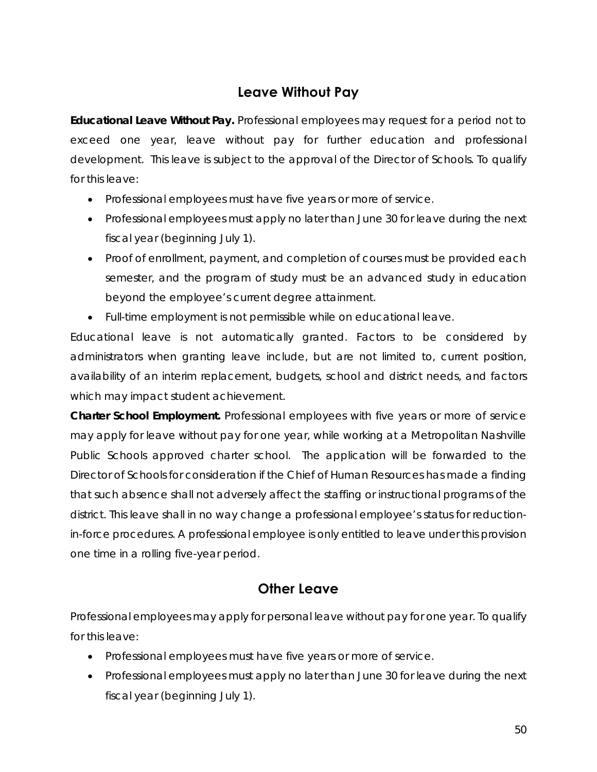## **Leave Without Pay**

*Educational Leave Without Pay.* Professional employees may request for a period not to exceed one year, leave without pay for further education and professional development. This leave is subject to the approval of the Director of Schools. To qualify for this leave:

- Professional employees must have five years or more of service.
- Professional employees must apply no later than June 30 for leave during the next fiscal year (beginning July 1).
- Proof of enrollment, payment, and completion of courses must be provided each semester, and the program of study must be an advanced study in education beyond the employee's current degree attainment.
- Full-time employment is not permissible while on educational leave.

Educational leave is not automatically granted. Factors to be considered by administrators when granting leave include, but are not limited to, current position, availability of an interim replacement, budgets, school and district needs, and factors which may impact student achievement.

*Charter School Employment.* Professional employees with five years or more of service may apply for leave without pay for one year, while working at a Metropolitan Nashville Public Schools approved charter school. The application will be forwarded to the Director of Schools for consideration if the Chief of Human Resources has made a finding that such absence shall not adversely affect the staffing or instructional programs of the district. This leave shall in no way change a professional employee's status for reductionin-force procedures. A professional employee is only entitled to leave under this provision one time in a rolling five-year period.

## **Other Leave**

Professional employees may apply for personal leave without pay for one year. To qualify for this leave:

- Professional employees must have five years or more of service.
- Professional employees must apply no later than June 30 for leave during the next fiscal year (beginning July 1).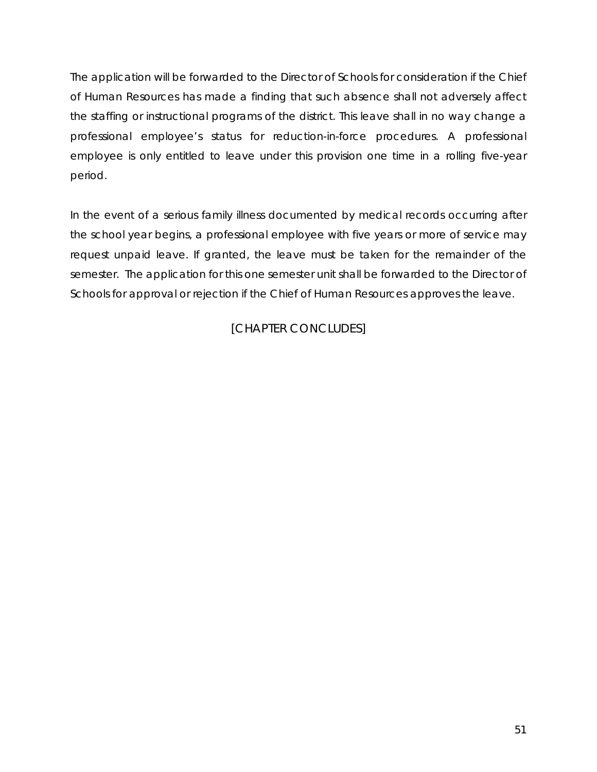The application will be forwarded to the Director of Schools for consideration if the Chief of Human Resources has made a finding that such absence shall not adversely affect the staffing or instructional programs of the district. This leave shall in no way change a professional employee's status for reduction-in-force procedures. A professional employee is only entitled to leave under this provision one time in a rolling five-year period.

In the event of a serious family illness documented by medical records occurring after the school year begins, a professional employee with five years or more of service may request unpaid leave. If granted, the leave must be taken for the remainder of the semester. The application for this one semester unit shall be forwarded to the Director of Schools for approval or rejection if the Chief of Human Resources approves the leave.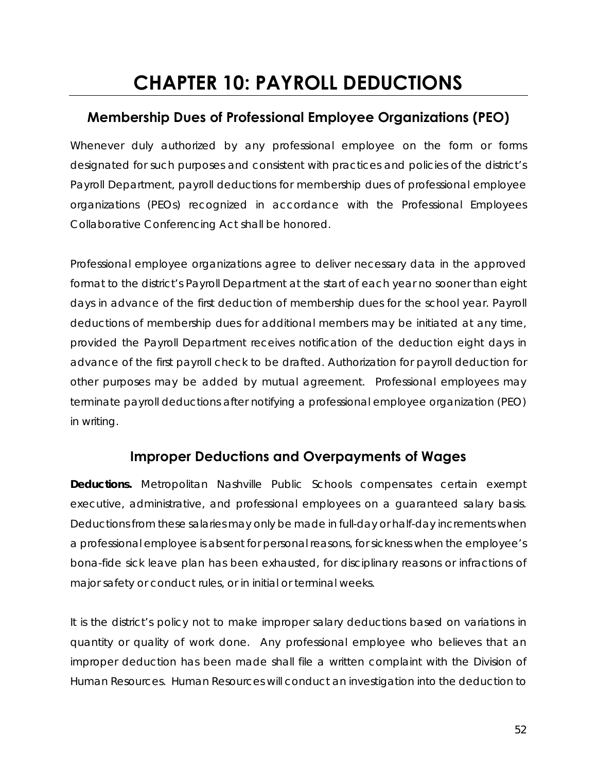## **CHAPTER 10: PAYROLL DEDUCTIONS**

## **Membership Dues of Professional Employee Organizations (PEO)**

Whenever duly authorized by any professional employee on the form or forms designated for such purposes and consistent with practices and policies of the district's Payroll Department, payroll deductions for membership dues of professional employee organizations (PEOs) recognized in accordance with the Professional Employees Collaborative Conferencing Act shall be honored.

Professional employee organizations agree to deliver necessary data in the approved format to the district's Payroll Department at the start of each year no sooner than eight days in advance of the first deduction of membership dues for the school year. Payroll deductions of membership dues for additional members may be initiated at any time, provided the Payroll Department receives notification of the deduction eight days in advance of the first payroll check to be drafted. Authorization for payroll deduction for other purposes may be added by mutual agreement. Professional employees may terminate payroll deductions after notifying a professional employee organization (PEO) in writing.

#### **Improper Deductions and Overpayments of Wages**

*Deductions.* Metropolitan Nashville Public Schools compensates certain exempt executive, administrative, and professional employees on a guaranteed salary basis. Deductions from these salaries may only be made in full-day or half-day increments when a professional employee is absent for personal reasons, for sickness when the employee's bona-fide sick leave plan has been exhausted, for disciplinary reasons or infractions of major safety or conduct rules, or in initial or terminal weeks.

It is the district's policy not to make improper salary deductions based on variations in quantity or quality of work done. Any professional employee who believes that an improper deduction has been made shall file a written complaint with the Division of Human Resources. Human Resources will conduct an investigation into the deduction to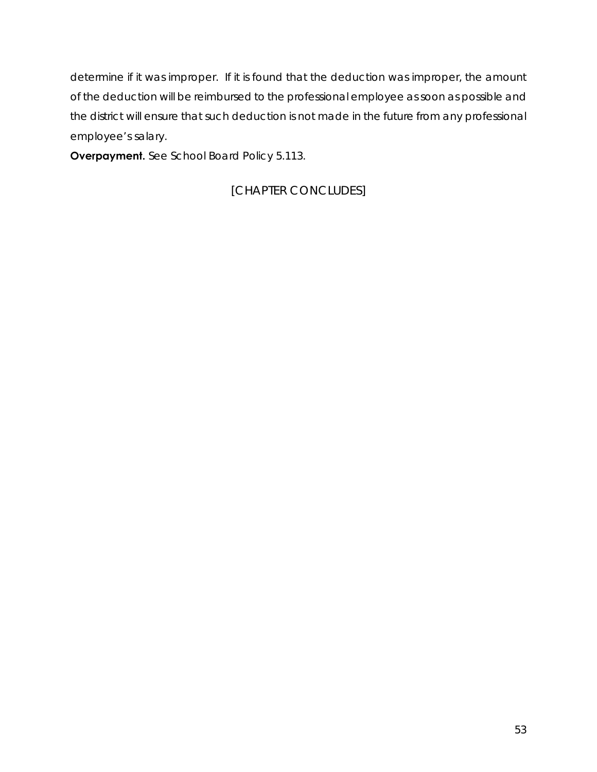determine if it was improper. If it is found that the deduction was improper, the amount of the deduction will be reimbursed to the professional employee as soon as possible and the district will ensure that such deduction is not made in the future from any professional employee's salary.

**Overpayment.** See School Board Policy 5.113.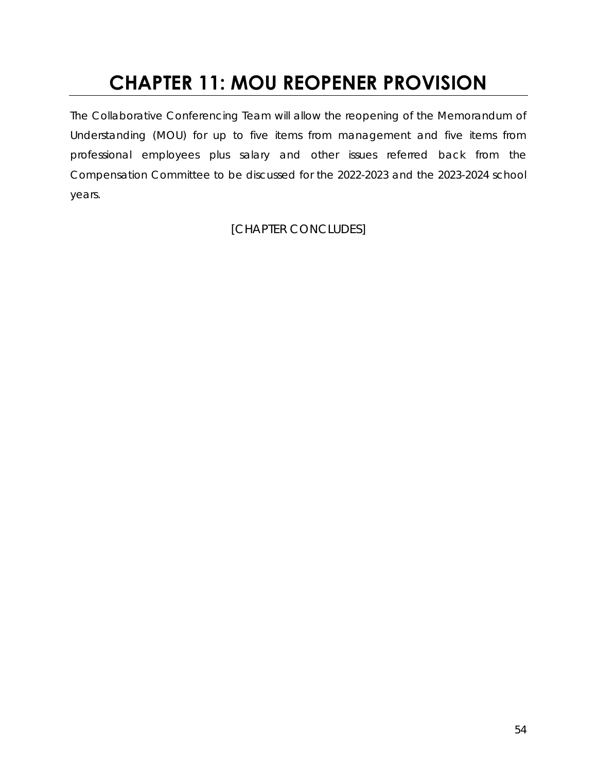## **CHAPTER 11: MOU REOPENER PROVISION**

The Collaborative Conferencing Team will allow the reopening of the Memorandum of Understanding (MOU) for up to five items from management and five items from professional employees plus salary and other issues referred back from the Compensation Committee to be discussed for the 2022-2023 and the 2023-2024 school years.